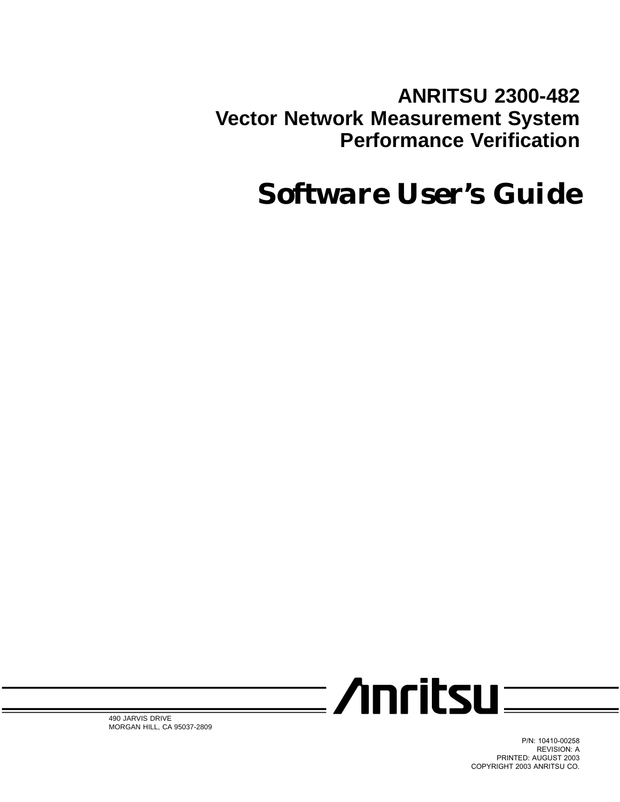**ANRITSU 2300-482 Vector Network Measurement System Performance Verification**

# *Software User's Guide*



490 JARVIS DRIVE MORGAN HILL, CA 95037-2809

> P/N: 10410-00258 REVISION: A PRINTED: AUGUST 2003 COPYRIGHT 2003 ANRITSU CO.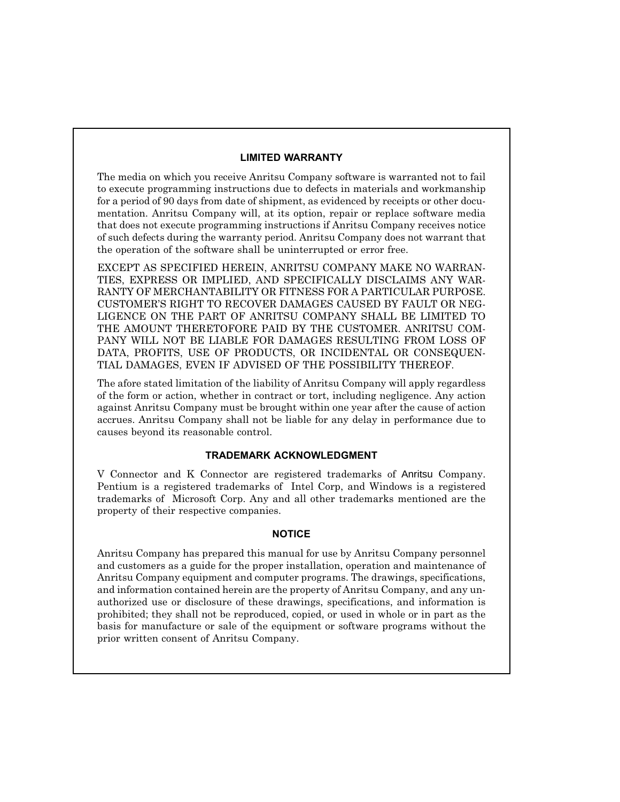#### **LIMITED WARRANTY**

The media on which you receive Anritsu Company software is warranted not to fail to execute programming instructions due to defects in materials and workmanship for a period of 90 days from date of shipment, as evidenced by receipts or other documentation. Anritsu Company will, at its option, repair or replace software media that does not execute programming instructions if Anritsu Company receives notice of such defects during the warranty period. Anritsu Company does not warrant that the operation of the software shall be uninterrupted or error free.

EXCEPT AS SPECIFIED HEREIN, ANRITSU COMPANY MAKE NO WARRAN-TIES, EXPRESS OR IMPLIED, AND SPECIFICALLY DISCLAIMS ANY WAR-RANTY OF MERCHANTABILITY OR FITNESS FOR A PARTICULAR PURPOSE. CUSTOMER'S RIGHT TO RECOVER DAMAGES CAUSED BY FAULT OR NEG-LIGENCE ON THE PART OF ANRITSU COMPANY SHALL BE LIMITED TO THE AMOUNT THERETOFORE PAID BY THE CUSTOMER. ANRITSU COM-PANY WILL NOT BE LIABLE FOR DAMAGES RESULTING FROM LOSS OF DATA, PROFITS, USE OF PRODUCTS, OR INCIDENTAL OR CONSEQUEN-TIAL DAMAGES, EVEN IF ADVISED OF THE POSSIBILITY THEREOF.

The afore stated limitation of the liability of Anritsu Company will apply regardless of the form or action, whether in contract or tort, including negligence. Any action against Anritsu Company must be brought within one year after the cause of action accrues. Anritsu Company shall not be liable for any delay in performance due to causes beyond its reasonable control.

#### **TRADEMARK ACKNOWLEDGMENT**

V Connector and K Connector are registered trademarks of Anritsu Company. Pentium is a registered trademarks of Intel Corp, and Windows is a registered trademarks of Microsoft Corp. Any and all other trademarks mentioned are the property of their respective companies.

#### **NOTICE**

Anritsu Company has prepared this manual for use by Anritsu Company personnel and customers as a guide for the proper installation, operation and maintenance of Anritsu Company equipment and computer programs. The drawings, specifications, and information contained herein are the property of Anritsu Company, and any unauthorized use or disclosure of these drawings, specifications, and information is prohibited; they shall not be reproduced, copied, or used in whole or in part as the basis for manufacture or sale of the equipment or software programs without the prior written consent of Anritsu Company.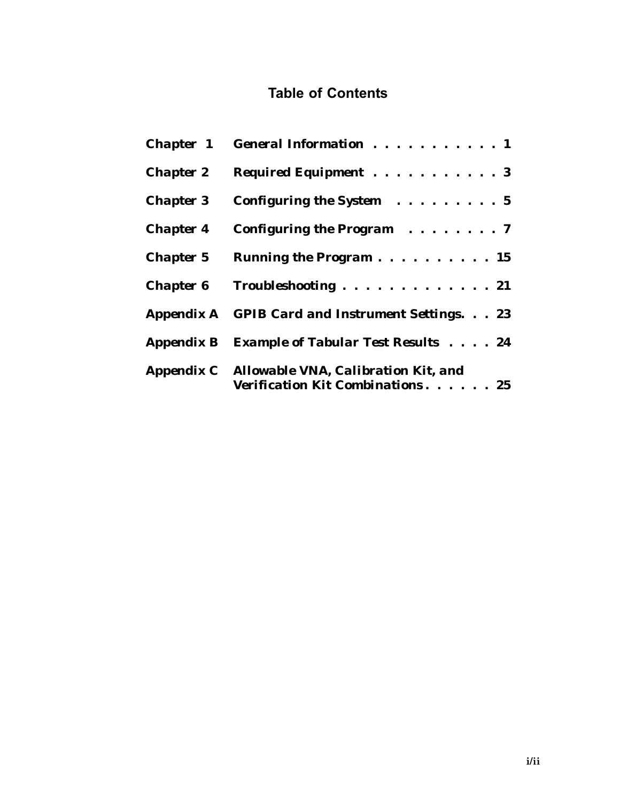# **Table of Contents**

|                  | Chapter 1 General Information 1                                                     |
|------------------|-------------------------------------------------------------------------------------|
|                  | Chapter 2 Required Equipment 3                                                      |
|                  | <b>Chapter 3</b> Configuring the System $\ldots \ldots \ldots 5$                    |
| <b>Chapter 4</b> | Configuring the Program $\ldots \ldots \ldots$ 7                                    |
| <b>Chapter 5</b> | Running the Program 15                                                              |
|                  | Chapter 6 Troubleshooting 21                                                        |
|                  | <b>Appendix A</b> GPIB Card and Instrument Settings. 23                             |
|                  | Appendix B Example of Tabular Test Results 24                                       |
|                  | Appendix C Allowable VNA, Calibration Kit, and<br>Verification Kit Combinations. 25 |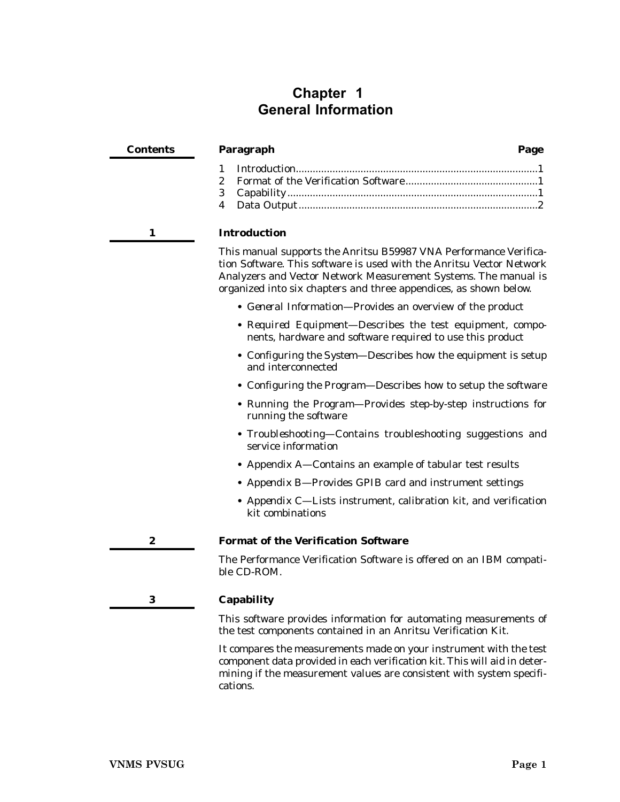# <span id="page-4-0"></span>**Chapter 1 General Information**

| <b>Contents</b> | Paragraph                                                                                                                                                                                                                                                                         | Page |
|-----------------|-----------------------------------------------------------------------------------------------------------------------------------------------------------------------------------------------------------------------------------------------------------------------------------|------|
|                 | 1<br>$\boldsymbol{2}$<br>3<br>4                                                                                                                                                                                                                                                   |      |
| 1               | <b>Introduction</b>                                                                                                                                                                                                                                                               |      |
|                 | This manual supports the Anritsu B59987 VNA Performance Verifica-<br>tion Software. This software is used with the Anritsu Vector Network<br>Analyzers and Vector Network Measurement Systems. The manual is<br>organized into six chapters and three appendices, as shown below. |      |
|                 | • General Information-Provides an overview of the product                                                                                                                                                                                                                         |      |
|                 | • Required Equipment-Describes the test equipment, compo-<br>nents, hardware and software required to use this product                                                                                                                                                            |      |
|                 | • Configuring the System—Describes how the equipment is setup<br>and interconnected                                                                                                                                                                                               |      |
|                 | • <i>Configuring the Program</i> —Describes how to setup the software                                                                                                                                                                                                             |      |
|                 | • Running the Program-Provides step-by-step instructions for<br>running the software                                                                                                                                                                                              |      |
|                 | • Troubleshooting-Contains troubleshooting suggestions and<br>service information                                                                                                                                                                                                 |      |
|                 | • Appendix A-Contains an example of tabular test results                                                                                                                                                                                                                          |      |
|                 | • Appendix B-Provides GPIB card and instrument settings                                                                                                                                                                                                                           |      |
|                 | • Appendix C-Lists instrument, calibration kit, and verification<br>kit combinations                                                                                                                                                                                              |      |
| 2               | <b>Format of the Verification Software</b>                                                                                                                                                                                                                                        |      |
|                 | The Performance Verification Software is offered on an IBM compati-<br>ble CD-ROM.                                                                                                                                                                                                |      |
| 3               | Capability                                                                                                                                                                                                                                                                        |      |

This software provides information for automating measurements of the test components contained in an Anritsu Verification Kit.

It compares the measurements made on your instrument with the test component data provided in each verification kit. This will aid in determining if the measurement values are consistent with system specifications.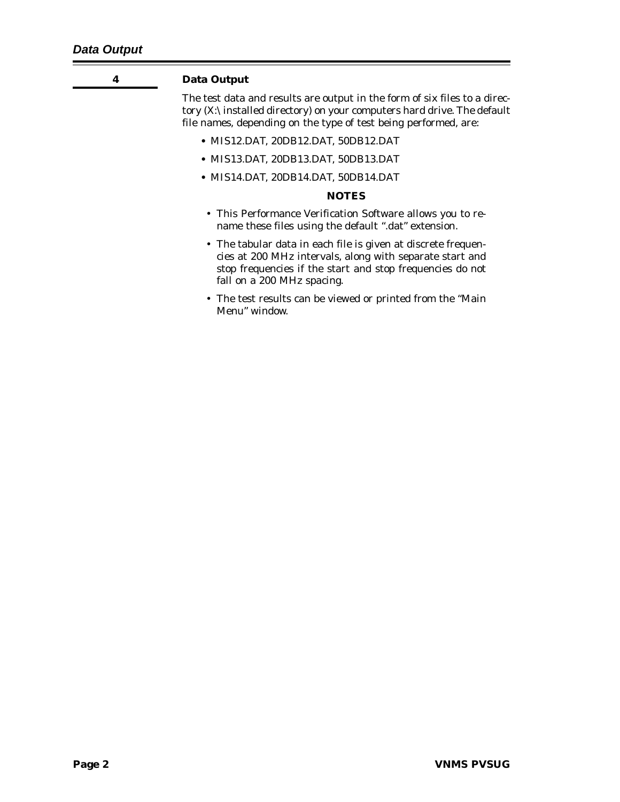<span id="page-5-0"></span>

#### **4 Data Output**

The test data and results are output in the form of six files to a directory (X:\installed directory) on your computers hard drive. The default file names, depending on the type of test being performed, are:

- **•** MIS12.DAT, 20DB12.DAT, 50DB12.DAT
- **•** MIS13.DAT, 20DB13.DAT, 50DB13.DAT
- **•** MIS14.DAT, 20DB14.DAT, 50DB14.DAT

#### *NOTES*

- This Performance Verification Software allows you to rename these files using the default ".dat" extension.
- The tabular data in each file is given at discrete frequencies at 200 MHz intervals, along with separate start and stop frequencies if the start and stop frequencies do not fall on a 200 MHz spacing.
- The test results can be viewed or printed from the "Main Menu" window.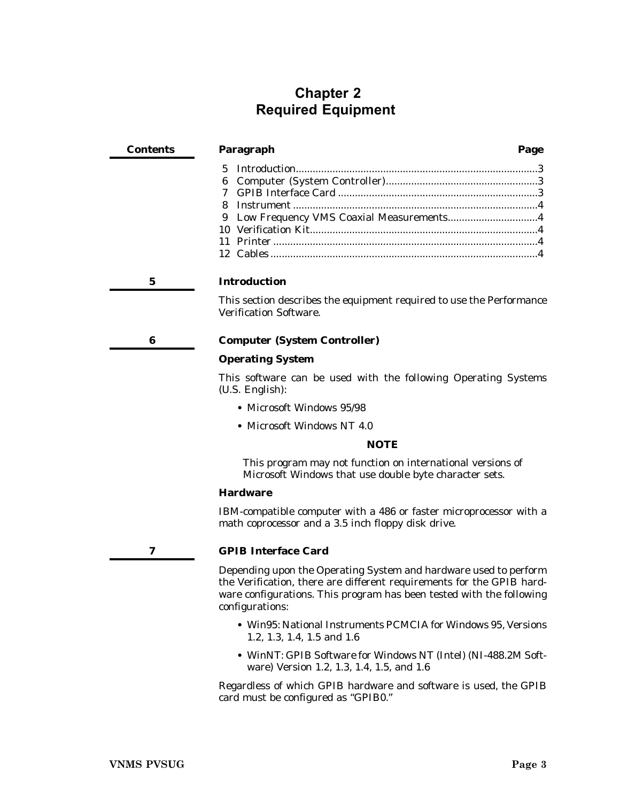# <span id="page-6-0"></span>**Chapter 2 Required Equipment**

| Contents | Paragraph                                 | Page |
|----------|-------------------------------------------|------|
|          | 5.                                        |      |
|          |                                           |      |
|          |                                           |      |
|          |                                           |      |
|          | 9 Low Frequency VMS Coaxial Measurements4 |      |
|          |                                           |      |
|          |                                           |      |
|          |                                           |      |
|          | <b>Introduction</b>                       |      |

This section describes the equipment required to use the Performance Verification Software.

#### **6 Computer (System Controller)**

#### **Operating System**

This software can be used with the following Operating Systems (U.S. English):

- **•** Microsoft Windows 95/98
- **•** Microsoft Windows NT 4.0

#### *NOTE*

This program may not function on international versions of Microsoft Windows that use double byte character sets.

#### **Hardware**

IBM-compatible computer with a 486 or faster microprocessor with a math coprocessor and a 3.5 inch floppy disk drive.

#### **7 GPIB Interface Card**

Depending upon the Operating System and hardware used to perform the Verification, there are different requirements for the GPIB hardware configurations. This program has been tested with the following configurations:

- **•** Win95: National Instruments PCMCIA for Windows 95, Versions 1.2, 1.3, 1.4, 1.5 and 1.6
- **•** WinNT: GPIB Software for Windows NT (Intel) (NI-488.2M Software) Version 1.2, 1.3, 1.4, 1.5, and 1.6

Regardless of which GPIB hardware and software is used, the GPIB card must be configured as "GPIB0."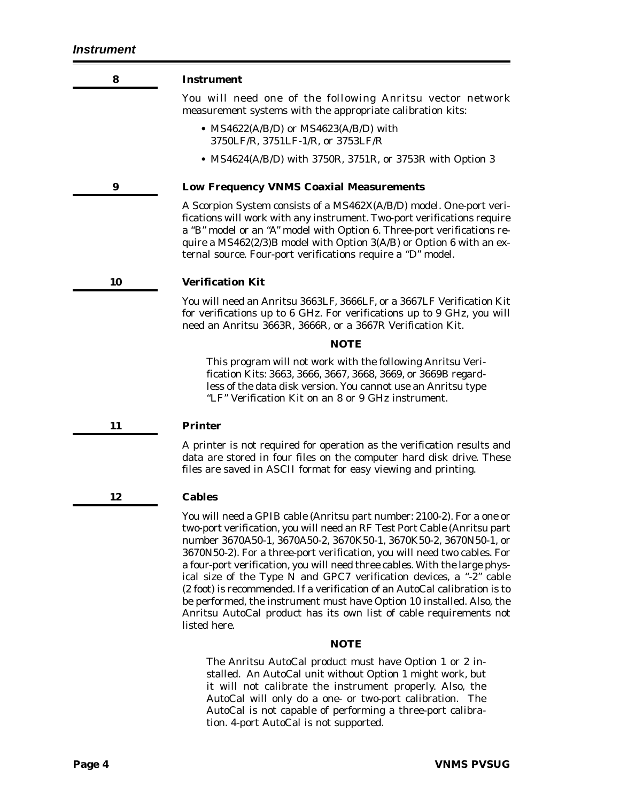<span id="page-7-0"></span>

| 8  | <b>Instrument</b>                                                                                                                                                                                                                                                                                                                                                                                                                                                                                                                     |
|----|---------------------------------------------------------------------------------------------------------------------------------------------------------------------------------------------------------------------------------------------------------------------------------------------------------------------------------------------------------------------------------------------------------------------------------------------------------------------------------------------------------------------------------------|
|    | You will need one of the following Anritsu vector network<br>measurement systems with the appropriate calibration kits:                                                                                                                                                                                                                                                                                                                                                                                                               |
|    | • $MS4622(A/B/D)$ or $MS4623(A/B/D)$ with<br>3750LF/R, 3751LF-1/R, or 3753LF/R                                                                                                                                                                                                                                                                                                                                                                                                                                                        |
|    | • MS4624(A/B/D) with 3750R, 3751R, or 3753R with Option 3                                                                                                                                                                                                                                                                                                                                                                                                                                                                             |
| 9  | <b>Low Frequency VNMS Coaxial Measurements</b>                                                                                                                                                                                                                                                                                                                                                                                                                                                                                        |
|    | A Scorpion System consists of a MS462X(A/B/D) model. One-port veri-<br>fications will work with any instrument. Two-port verifications require<br>a "B" model or an "A" model with Option 6. Three-port verifications re-<br>quire a MS462(2/3)B model with Option 3(A/B) or Option 6 with an ex-<br>ternal source. Four-port verifications require a "D" model.                                                                                                                                                                      |
| 10 | <b>Verification Kit</b>                                                                                                                                                                                                                                                                                                                                                                                                                                                                                                               |
|    | You will need an Anritsu 3663LF, 3666LF, or a 3667LF Verification Kit<br>for verifications up to 6 GHz. For verifications up to 9 GHz, you will<br>need an Anritsu 3663R, 3666R, or a 3667R Verification Kit.                                                                                                                                                                                                                                                                                                                         |
|    | <i>NOTE</i>                                                                                                                                                                                                                                                                                                                                                                                                                                                                                                                           |
|    | This program will not work with the following Anritsu Veri-<br>fication Kits: 3663, 3666, 3667, 3668, 3669, or 3669B regard-<br>less of the data disk version. You cannot use an Anritsu type<br>"LF" Verification Kit on an 8 or 9 GHz instrument.                                                                                                                                                                                                                                                                                   |
| 11 | <b>Printer</b>                                                                                                                                                                                                                                                                                                                                                                                                                                                                                                                        |
|    | A printer is not required for operation as the verification results and<br>data are stored in four files on the computer hard disk drive. These<br>files are saved in ASCII format for easy viewing and printing.                                                                                                                                                                                                                                                                                                                     |
| 12 | <b>Cables</b>                                                                                                                                                                                                                                                                                                                                                                                                                                                                                                                         |
|    | You will need a GPIB cable (Anritsu part number: 2100-2). For a one or<br>two-port verification, you will need an RF Test Port Cable (Anritsu part<br>number 3670A50-1, 3670A50-2, 3670K50-1, 3670K50-2, 3670N50-1, or<br>3670N50-2). For a three-port verification, you will need two cables. For<br>a four-port verification, you will need three cables. With the large phys-<br>ical size of the Type N and GPC7 verification devices, a "-2" cable<br>(2 foot) is recommended. If a verification of an AutoCal calibration is to |

(2 foot) is recommended. If a verification of an AutoCal calibration is to be performed, the instrument must have Option 10 installed. Also, the Anritsu AutoCal product has its own list of cable requirements not listed here.

#### *NOTE*

The Anritsu AutoCal product must have Option 1 or 2 installed. An AutoCal unit without Option 1 might work, but it will not calibrate the instrument properly. Also, the AutoCal will only do a one- or two-port calibration. The AutoCal is not capable of performing a three-port calibration. 4-port AutoCal is not supported.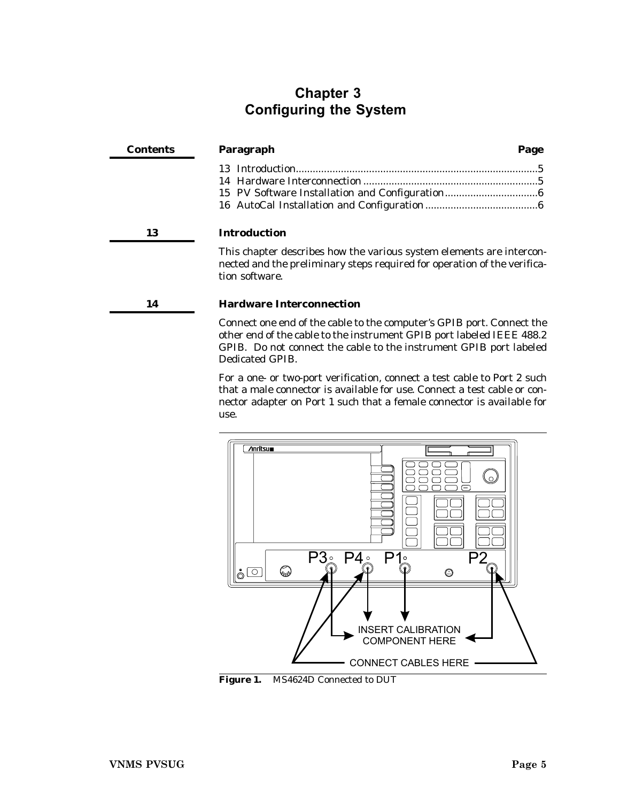# <span id="page-8-0"></span>**Chapter 3 Configuring the System**

| Contents | Paragraph<br>Page                                                                                                                                                                                                                       |
|----------|-----------------------------------------------------------------------------------------------------------------------------------------------------------------------------------------------------------------------------------------|
|          |                                                                                                                                                                                                                                         |
|          |                                                                                                                                                                                                                                         |
|          |                                                                                                                                                                                                                                         |
|          |                                                                                                                                                                                                                                         |
| 13       | Introduction                                                                                                                                                                                                                            |
|          | This chapter describes how the various system elements are intercon-<br>nected and the preliminary steps required for operation of the verifica-<br>tion software.                                                                      |
| 14       | <b>Hardware Interconnection</b>                                                                                                                                                                                                         |
|          | Connect one end of the cable to the computer's GPIB port. Connect the<br>other end of the cable to the instrument GPIB port labeled IEEE 488.2<br>GPIB. Do not connect the cable to the instrument GPIB port labeled<br>Dedicated GPIB. |

For a one- or two-port verification, connect a test cable to Port 2 such that a male connector is available for use. Connect a test cable or connector adapter on Port 1 such that a female connector is available for use.



**Figure 1.** MS4624D Connected to DUT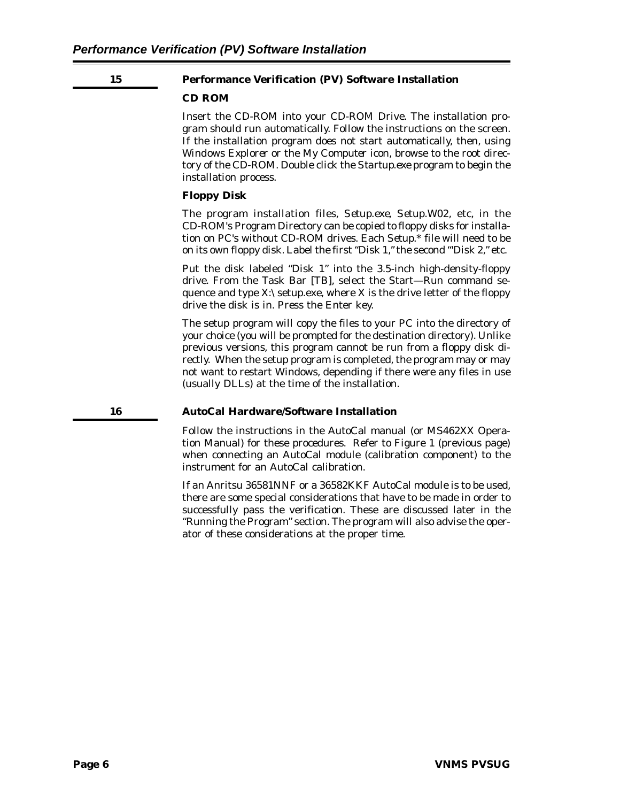#### <span id="page-9-0"></span>**15 Performance Verification (PV) Software Installation**

#### **CD ROM**

Insert the CD-ROM into your CD-ROM Drive. The installation program should run automatically. Follow the instructions on the screen. If the installation program does not start automatically, then, using *Windows Explorer* or the *My Computer* icon, browse to the root directory of the CD-ROM. Double click the *Startup.exe* program to begin the installation process.

#### **Floppy Disk**

The program installation files, *Setup.exe, Setup.W02,* etc, in the CD-ROM's Program Directory can be copied to floppy disks for installation on PC's without CD-ROM drives. Each *Setup.\** file will need to be on its own floppy disk. Label the first "Disk 1," the second "'Disk 2," etc.

Put the disk labeled "Disk 1" into the 3.5-inch high-density-floppy drive. From the Task Bar [TB], select the Start—Run command sequence and type  $X:\setminus$  setup.exe, where X is the drive letter of the floppy drive the disk is in. Press the Enter key.

The setup program will copy the files to your PC into the directory of your choice (you will be prompted for the destination directory). Unlike previous versions, this program cannot be run from a floppy disk directly. When the setup program is completed, the program may or may not want to restart Windows, depending if there were any files in use (usually DLLs) at the time of the installation.

#### **16 AutoCal Hardware/Software Installation**

Follow the instructions in the AutoCal manual (or MS462XX Operation Manual) for these procedures. Refer to Figure 1 (previous page) when connecting an AutoCal module (calibration component) to the instrument for an AutoCal calibration.

If an Anritsu 36581NNF or a 36582KKF AutoCal module is to be used, there are some special considerations that have to be made in order to successfully pass the verification. These are discussed later in the "Running the Program" section. The program will also advise the operator of these considerations at the proper time.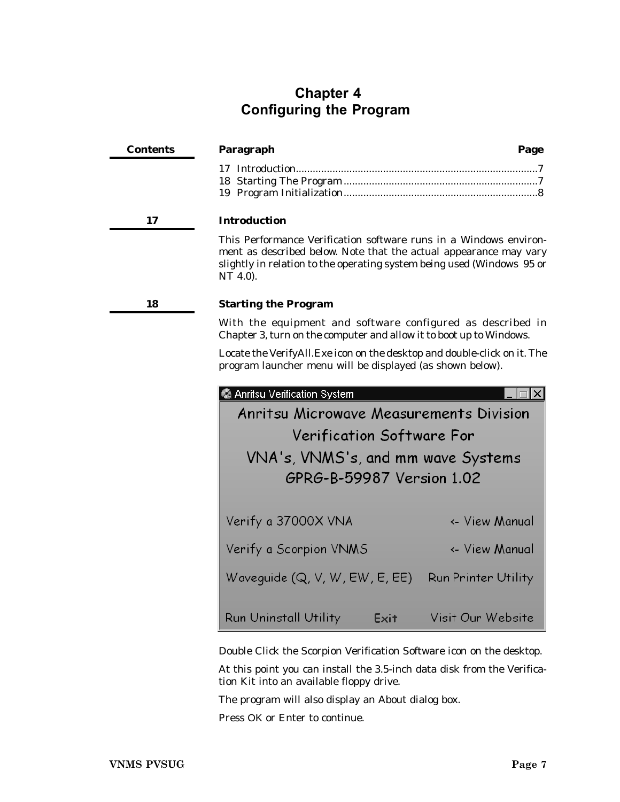# <span id="page-10-0"></span>**Chapter 4 Configuring the Program**

| <b>Contents</b> | Paragraph                                                                                                                                                                                                                    | Page                                                                                                                                   |  |  |  |
|-----------------|------------------------------------------------------------------------------------------------------------------------------------------------------------------------------------------------------------------------------|----------------------------------------------------------------------------------------------------------------------------------------|--|--|--|
|                 |                                                                                                                                                                                                                              |                                                                                                                                        |  |  |  |
| 17              | <b>Introduction</b>                                                                                                                                                                                                          |                                                                                                                                        |  |  |  |
|                 | This Performance Verification software runs in a Windows environ-<br>ment as described below. Note that the actual appearance may vary<br>slightly in relation to the operating system being used (Windows 95 or<br>NT 4.0). |                                                                                                                                        |  |  |  |
| 18              | <b>Starting the Program</b>                                                                                                                                                                                                  |                                                                                                                                        |  |  |  |
|                 | With the equipment and software configured as described in<br>Chapter 3, turn on the computer and allow it to boot up to Windows.                                                                                            |                                                                                                                                        |  |  |  |
|                 |                                                                                                                                                                                                                              | Locate the VerifyAll. Exe icon on the desktop and double-click on it. The<br>program launcher menu will be displayed (as shown below). |  |  |  |
|                 | Anritsu Verification System                                                                                                                                                                                                  |                                                                                                                                        |  |  |  |
|                 | Anritsu Microwave Measurements Division                                                                                                                                                                                      |                                                                                                                                        |  |  |  |
|                 |                                                                                                                                                                                                                              | <b>Verification Software For</b>                                                                                                       |  |  |  |
|                 | VNA's, VNMS's, and mm wave Systems                                                                                                                                                                                           |                                                                                                                                        |  |  |  |
|                 | GPRG-B-59987 Version 1.02                                                                                                                                                                                                    |                                                                                                                                        |  |  |  |
|                 | Verify a 37000X VNA                                                                                                                                                                                                          | <- View Manual                                                                                                                         |  |  |  |
|                 | Verify a Scorpion VNMS                                                                                                                                                                                                       | <- View Manual                                                                                                                         |  |  |  |
|                 | Waveguide (Q, V, W, EW, E, EE)                                                                                                                                                                                               | Run Printer Utility                                                                                                                    |  |  |  |
|                 | Run Uninstall Utility<br>Exit                                                                                                                                                                                                | Visit Our Website                                                                                                                      |  |  |  |

Double Click the Scorpion Verification Software icon on the desktop.

At this point you can install the 3.5-inch data disk from the Verification Kit into an available floppy drive.

The program will also display an About dialog box.

Press OK or Enter to continue.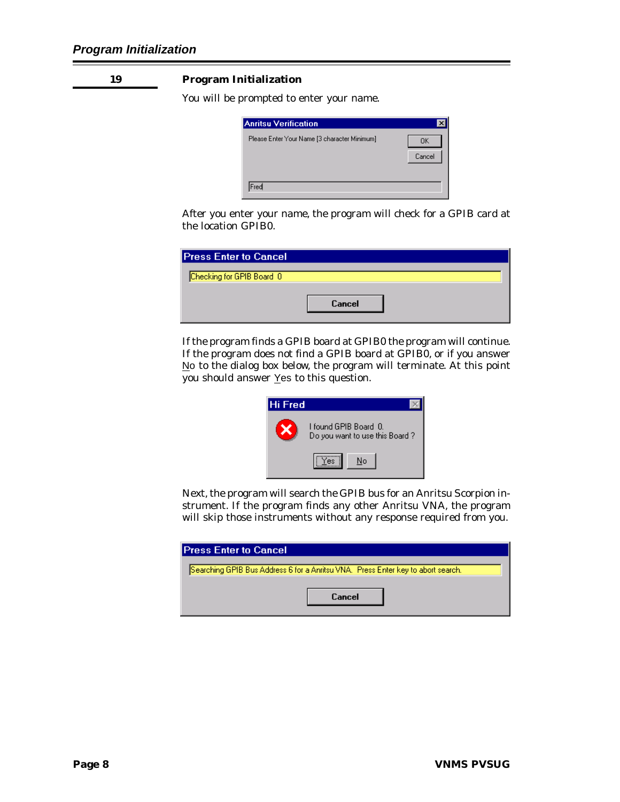#### <span id="page-11-0"></span>**19 Program Initialization**

You will be prompted to enter your name.

| Anritsu Verification                         |              |
|----------------------------------------------|--------------|
| Please Enter Your Name [3 character Minimum] | OΚ<br>Cancel |
| Fred                                         |              |

After you enter your name, the program will check for a GPIB card at the location GPIB0.

| <b>Press Enter to Cancel</b> |        |  |
|------------------------------|--------|--|
| Checking for GPIB Board 0    | Cancel |  |

If the program finds a GPIB board at GPIB0 the program will continue. If the program does not find a GPIB board at GPIB0, or if you answer No to the dialog box below, the program will terminate. At this point you should answer Yes to this question.



Next, the program will search the GPIB bus for an Anritsu Scorpion instrument. If the program finds any other Anritsu VNA, the program will skip those instruments without any response required from you.

| <b>Press Enter to Cancel</b>                                                     |
|----------------------------------------------------------------------------------|
| Searching GPIB Bus Address 6 for a Anritsu VNA. Press Enter key to abort search. |
|                                                                                  |
| Cancel                                                                           |
|                                                                                  |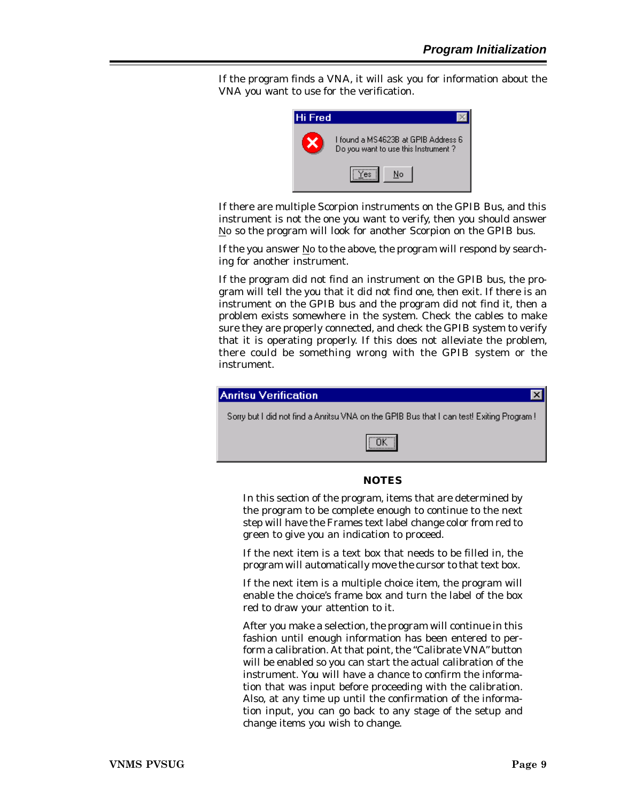If the program finds a VNA, it will ask you for information about the VNA you want to use for the verification.



If there are multiple Scorpion instruments on the GPIB Bus, and this instrument is not the one you want to verify, then you should answer No so the program will look for another Scorpion on the GPIB bus.

If the you answer  $N$ o to the above, the program will respond by searching for another instrument.

If the program did not find an instrument on the GPIB bus, the program will tell the you that it did not find one, then exit. If there is an instrument on the GPIB bus and the program did not find it, then a problem exists somewhere in the system. Check the cables to make sure they are properly connected, and check the GPIB system to verify that it is operating properly. If this does not alleviate the problem, there could be something wrong with the GPIB system or the instrument.



#### *NOTES*

In this section of the program, items that are determined by the program to be complete enough to continue to the next step will have the Frames text label change color from red to green to give you an indication to proceed.

If the next item is a text box that needs to be filled in, the program will automatically move the cursor to that text box.

If the next item is a multiple choice item, the program will enable the choice's frame box and turn the label of the box red to draw your attention to it.

After you make a selection, the program will continue in this fashion until enough information has been entered to perform a calibration. At that point, the "Calibrate VNA" button will be enabled so you can start the actual calibration of the instrument. You will have a chance to confirm the information that was input before proceeding with the calibration. Also, at any time up until the confirmation of the information input, you can go back to any stage of the setup and change items you wish to change.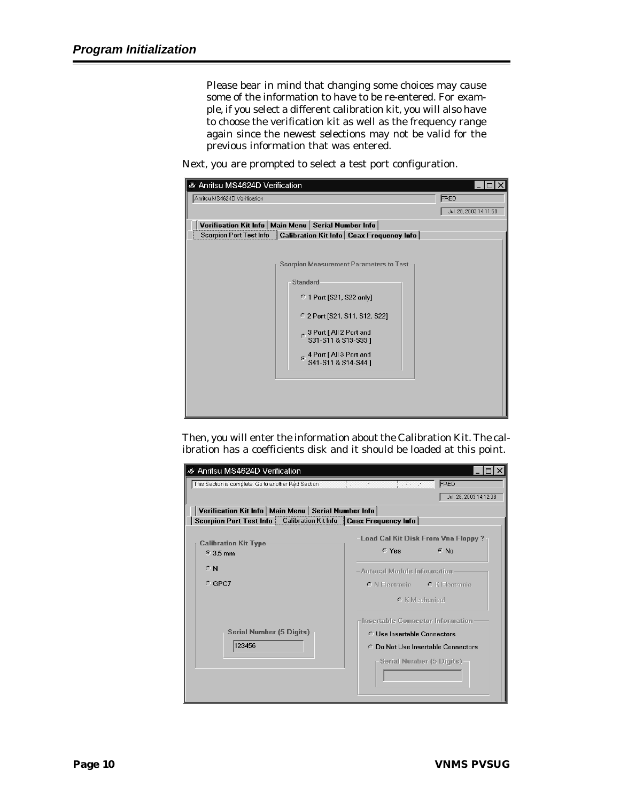Please bear in mind that changing some choices may cause some of the information to have to be re-entered. For example, if you select a different calibration kit, you will also have to choose the verification kit as well as the frequency range again since the newest selections may not be valid for the previous information that was entered.

Next, you are prompted to select a test port configuration.

| Anritsu MS4624D Verification<br>D.                                   |                                       |                                               |                        |
|----------------------------------------------------------------------|---------------------------------------|-----------------------------------------------|------------------------|
| Anritsu MS4624D Verification                                         |                                       |                                               | FRED                   |
|                                                                      |                                       |                                               | Jul. 28, 2003 14:11:58 |
| Verification Kit Info   Main Menu   Serial Number Info               |                                       |                                               |                        |
| Scorpion Port Test Info   Calibration Kit Info   Coax Frequency Info |                                       |                                               |                        |
|                                                                      |                                       |                                               |                        |
|                                                                      |                                       | Scorpion Measurement Parameters to Test-      |                        |
|                                                                      | Standard                              |                                               |                        |
|                                                                      | $\degree$ 1 Port [S21, S22 only]      |                                               |                        |
|                                                                      |                                       | C 2 Port [S21, S11, S12, S22]                 |                        |
|                                                                      | $\frac{1}{2}$ 3 Port [ All 2 Port and | S31-S11 & S13-S33 ]                           |                        |
|                                                                      | Ġ.                                    | 4 Port [All 3 Port and<br>S41-S11 & S14-S44 ] |                        |
|                                                                      |                                       |                                               |                        |
|                                                                      |                                       |                                               |                        |

Then, you will enter the information about the Calibration Kit. The calibration has a coefficients disk and it should be loaded at this point.

| Anritsu MS4624D Verification                                         |                                                                         |  |
|----------------------------------------------------------------------|-------------------------------------------------------------------------|--|
| This Section is complete. Go to another Red Section                  | $\mathcal{L}(\mathcal{A})=\mathcal{A}(\mathcal{A})$<br>FRED<br>ti se ne |  |
|                                                                      | Jul. 28, 2003 14:12:38                                                  |  |
| Verification Kit Info   Main Menu   Serial Number Info               |                                                                         |  |
| Scorpion Port Test Info   Calibration Kit Info   Coax Frequency Info |                                                                         |  |
|                                                                      | Load Cal Kit Disk From Vna Floppy ?                                     |  |
| <b>Calibration Kit Type</b><br>$63.5 \text{ mm}$                     | $C$ Yes<br>$\odot$ No                                                   |  |
| $\cap$ N                                                             | -Autocal Module Information:                                            |  |
| $C$ GPC7                                                             | C N Electronic C K Electronic                                           |  |
|                                                                      | C K Mechanical                                                          |  |
|                                                                      | Insertable Connector Information                                        |  |
| Serial Number (5 Digits) -                                           | C Use Insertable Connectors                                             |  |
| 123456                                                               | C. Do Not Use Insertable Connectors                                     |  |
|                                                                      | – Serial Number (5 Digits) –                                            |  |
|                                                                      |                                                                         |  |
|                                                                      |                                                                         |  |
|                                                                      |                                                                         |  |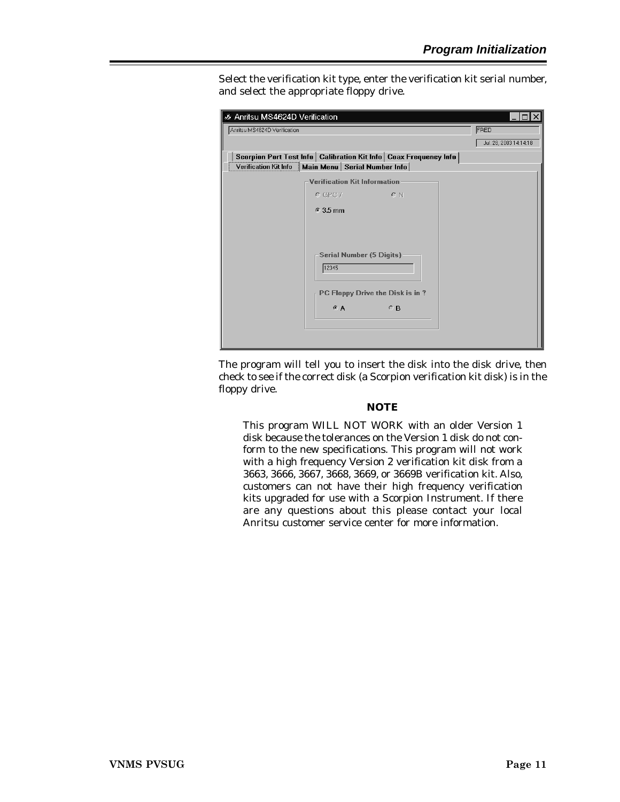Select the verification kit type, enter the verification kit serial number, and select the appropriate floppy drive.

| <b>Ø Anritsu MS4624D Verification</b> |                                                                      | ⊓lx                    |
|---------------------------------------|----------------------------------------------------------------------|------------------------|
| Anritsu MS4624D Verification          |                                                                      | FRED                   |
|                                       |                                                                      | Jul. 28, 2003 14:14:18 |
|                                       | Scorpion Port Test Info   Calibration Kit Info   Coax Frequency Info |                        |
|                                       | Verification Kit Info   Main Menu   Serial Number Info               |                        |
|                                       | <b>Verification Kit Information</b>                                  |                        |
|                                       | $O$ GPC $7$<br>O N                                                   |                        |
|                                       | $63.5$ mm                                                            |                        |
|                                       |                                                                      |                        |
|                                       |                                                                      |                        |
|                                       |                                                                      |                        |
|                                       | Serial Number (5 Digits)                                             |                        |
|                                       | 12345                                                                |                        |
|                                       | PC Floppy Drive the Disk is in ? $\neg$                              |                        |
|                                       |                                                                      |                        |
|                                       | $C$ B<br>C A                                                         |                        |
|                                       |                                                                      |                        |
|                                       |                                                                      |                        |
|                                       |                                                                      |                        |

The program will tell you to insert the disk into the disk drive, then check to see if the correct disk (a Scorpion verification kit disk) is in the floppy drive.

#### *NOTE*

This program WILL NOT WORK with an older Version 1 disk because the tolerances on the Version 1 disk do not conform to the new specifications. This program will not work with a high frequency Version 2 verification kit disk from a 3663, 3666, 3667, 3668, 3669, or 3669B verification kit. Also, customers can not have their high frequency verification kits upgraded for use with a Scorpion Instrument. If there are any questions about this please contact your local Anritsu customer service center for more information.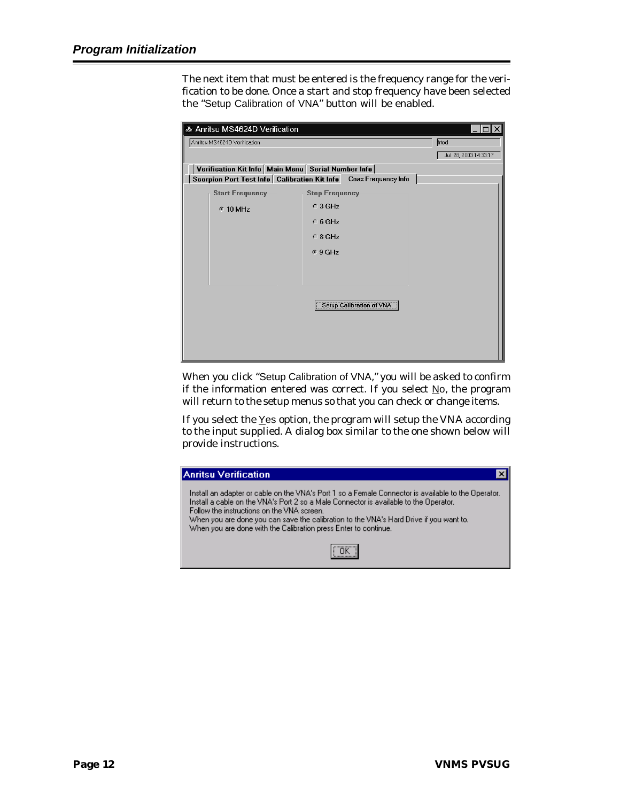The next item that must be entered is the frequency range for the verification to be done. Once a start and stop frequency have been selected the "Setup Calibration of VNA" button will be enabled.

| <b>Ø Anritsu MS4624D Verification</b>          |                                                        | $\times$               |
|------------------------------------------------|--------------------------------------------------------|------------------------|
| Anritsu MS4624D Verification                   |                                                        | frted                  |
|                                                |                                                        | Jul. 28, 2003 14:33:17 |
|                                                | Verification Kit Info   Main Menu   Serial Number Info |                        |
| Scorpion Port Test Info   Calibration Kit Info | Coax Frequency Info                                    |                        |
| <b>Start Frequency</b>                         | <b>Stop Frequency</b>                                  |                        |
| $6.10$ MHz                                     | $\circ$ 3 GHz                                          |                        |
|                                                | $C$ 6 GHz                                              |                        |
|                                                | $C$ 8 GHz                                              |                        |
|                                                | $G$ 9 GHz                                              |                        |
|                                                |                                                        |                        |
|                                                |                                                        |                        |
|                                                |                                                        |                        |
|                                                | <b>Setup Calibration of VNA</b>                        |                        |
|                                                |                                                        |                        |
|                                                |                                                        |                        |
|                                                |                                                        |                        |
|                                                |                                                        |                        |

When you click "Setup Calibration of VNA," you will be asked to confirm if the information entered was correct. If you select  $\underline{N}$ o, the program will return to the setup menus so that you can check or change items.

If you select the Yes option, the program will setup the VNA according to the input supplied. A dialog box similar to the one shown below will provide instructions.

| <b>Anritsu Verification</b>                                                                                                                                                                                                                                                                                                                                                                             |
|---------------------------------------------------------------------------------------------------------------------------------------------------------------------------------------------------------------------------------------------------------------------------------------------------------------------------------------------------------------------------------------------------------|
| Install an adapter or cable on the VNA's Port 1 so a Female Connector is available to the Operator.<br>Install a cable on the VNA's Port 2 so a Male Connector is available to the Operator.<br>Follow the instructions on the VNA screen.<br>When you are done you can save the calibration to the VNA's Hard Drive if you want to.<br>When you are done with the Calibration press Enter to continue. |
|                                                                                                                                                                                                                                                                                                                                                                                                         |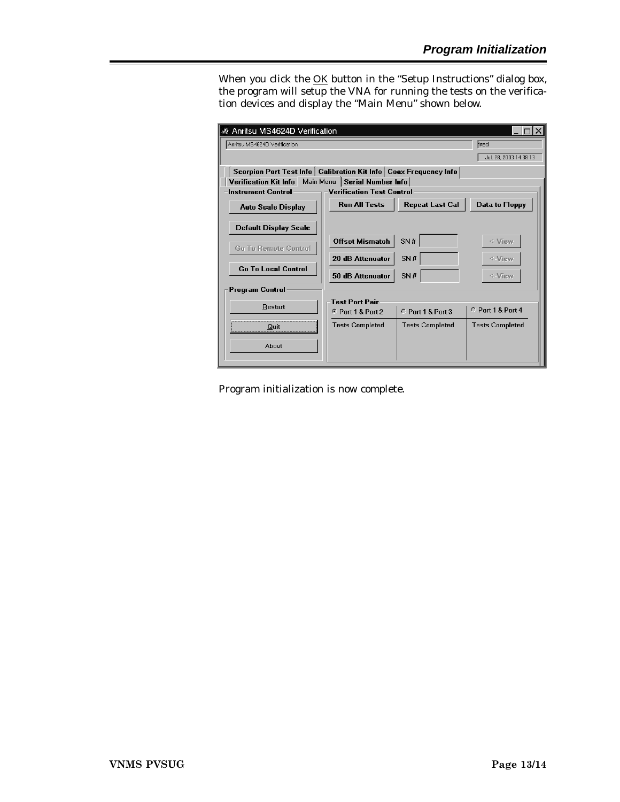When you click the **OK** button in the "Setup Instructions" dialog box, the program will setup the VNA for running the tests on the verification devices and display the "Main Menu" shown below.

| C Anritsu MS4624D Verification                                       |                                  |                        |                        |  |  |  |  |
|----------------------------------------------------------------------|----------------------------------|------------------------|------------------------|--|--|--|--|
| Anritsu MS4624D Verification<br>frted                                |                                  |                        |                        |  |  |  |  |
| Jul. 28, 2003 14:38:13                                               |                                  |                        |                        |  |  |  |  |
| Scorpion Port Test Info   Calibration Kit Info   Coax Frequency Info |                                  |                        |                        |  |  |  |  |
| Verification Kit Info Main Menu   Serial Number Info                 |                                  |                        |                        |  |  |  |  |
| <b>Instrument Control</b>                                            | <b>Verification Test Control</b> |                        |                        |  |  |  |  |
| <b>Auto Scale Display</b>                                            | <b>Run All Tests</b>             | <b>Repeat Last Cal</b> | <b>Data to Floppy</b>  |  |  |  |  |
| <b>Default Display Scale</b>                                         |                                  |                        |                        |  |  |  |  |
| <b>Gn Tn Remnte Control</b>                                          | <b>Offset Mismatch</b>           | SN#                    | $\leq$ -View           |  |  |  |  |
|                                                                      | 20 dB Attenuator                 | SN#                    | <-View                 |  |  |  |  |
| <b>Go To Local Control</b>                                           | 50 dB Attenuator                 | SN#                    | <-View                 |  |  |  |  |
| <b>Program Control</b>                                               |                                  |                        |                        |  |  |  |  |
| Restart                                                              | <b>Test Port Pair</b>            |                        |                        |  |  |  |  |
|                                                                      | <b>6 Port 1 &amp; Port 2</b>     | C Port 1 & Port 3      | $CP$ nrt 1 & Pnrt 4    |  |  |  |  |
| Quit                                                                 | <b>Tests Completed</b>           | <b>Tests Completed</b> | <b>Tests Completed</b> |  |  |  |  |
| About                                                                |                                  |                        |                        |  |  |  |  |

Program initialization is now complete.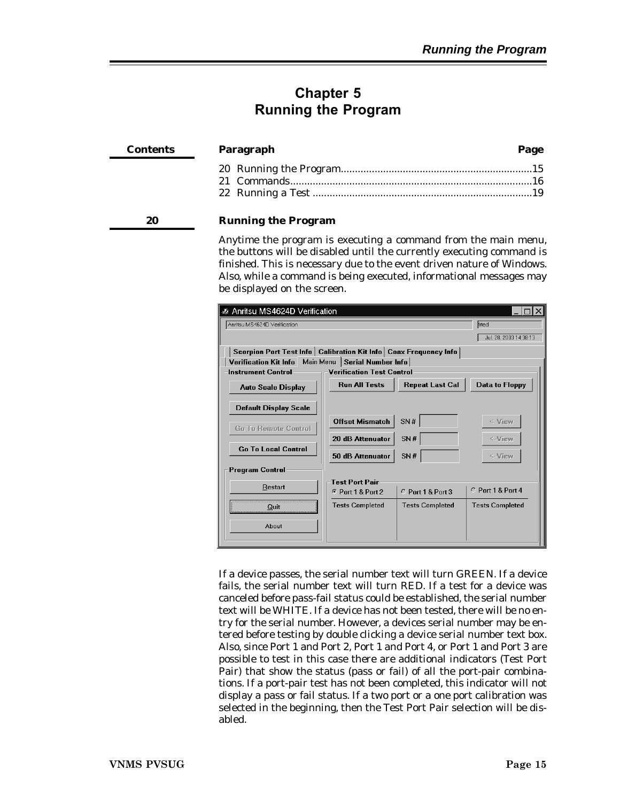### <span id="page-18-0"></span>**Chapter 5 Running the Program**

| Contents | Paragraph                  |  |  |
|----------|----------------------------|--|--|
|          |                            |  |  |
|          |                            |  |  |
| 20       | <b>Running the Program</b> |  |  |

Anytime the program is executing a command from the main menu, the buttons will be disabled until the currently executing command is finished. This is necessary due to the event driven nature of Windows. Also, while a command is being executed, informational messages may be displayed on the screen.

| Anritsu MS4624D Verification                                         |                                  |                        |                        |  |  |  |  |
|----------------------------------------------------------------------|----------------------------------|------------------------|------------------------|--|--|--|--|
| frted<br>Anritsu MS4624D Verification                                |                                  |                        |                        |  |  |  |  |
|                                                                      | Jul. 28, 2003 14:38:13           |                        |                        |  |  |  |  |
| Scorpion Port Test Info   Calibration Kit Info   Coax Frequency Info |                                  |                        |                        |  |  |  |  |
| Main Menu<br><b>Verification Kit Info</b>                            | Serial Number Info               |                        |                        |  |  |  |  |
| <b>Instrument Control</b>                                            | <b>Verification Test Control</b> |                        |                        |  |  |  |  |
| <b>Auto Scale Display</b>                                            | <b>Run All Tests</b>             | <b>Repeat Last Cal</b> | <b>Data to Floppy</b>  |  |  |  |  |
| <b>Default Display Scale</b>                                         |                                  |                        |                        |  |  |  |  |
| <b>Gn Tn Remnte Control</b>                                          | <b>Offset Mismatch</b>           | SN#                    | <-View                 |  |  |  |  |
|                                                                      | 20 dB Attenuator                 | SN#                    | <-View                 |  |  |  |  |
| <b>Go To Local Control</b>                                           | 50 dB Attenuator                 | SN#                    | <-View                 |  |  |  |  |
| <b>Program Control</b>                                               |                                  |                        |                        |  |  |  |  |
|                                                                      | <b>Test Port Pair</b>            |                        |                        |  |  |  |  |
| Restart                                                              | <b>6 Port 1 &amp; Port 2</b>     | C Port 1 & Port 3      | $C$ Port 1 & Port 4    |  |  |  |  |
| Quit                                                                 | <b>Tests Completed</b>           | <b>Tests Completed</b> | <b>Tests Completed</b> |  |  |  |  |
| About                                                                |                                  |                        |                        |  |  |  |  |

If a device passes, the serial number text will turn GREEN. If a device fails, the serial number text will turn RED. If a test for a device was canceled before pass-fail status could be established, the serial number text will be WHITE. If a device has not been tested, there will be no entry for the serial number. However, a devices serial number may be entered before testing by double clicking a device serial number text box. Also, since Port 1 and Port 2, Port 1 and Port 4, or Port 1 and Port 3 are possible to test in this case there are additional indicators (Test Port Pair) that show the status (pass or fail) of all the port-pair combinations. If a port-pair test has not been completed, this indicator will not display a pass or fail status. If a two port or a one port calibration was selected in the beginning, then the Test Port Pair selection will be disabled.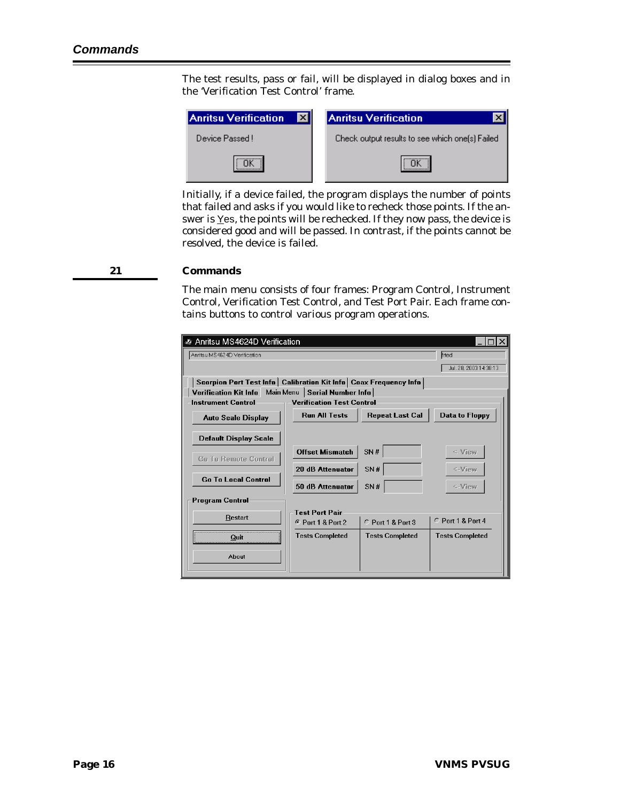<span id="page-19-0"></span>The test results, pass or fail, will be displayed in dialog boxes and in the 'Verification Test Control' frame.



Initially, if a device failed, the program displays the number of points that failed and asks if you would like to recheck those points. If the answer is Yes, the points will be rechecked. If they now pass, the device is considered good and will be passed. In contrast, if the points cannot be resolved, the device is failed.

#### **21 Commands**

The main menu consists of four frames: Program Control, Instrument Control, Verification Test Control, and Test Port Pair. Each frame contains buttons to control various program operations.

| Anritsu MS4624D Verification          |                                                                      |                        |                        |  |  |  |  |  |
|---------------------------------------|----------------------------------------------------------------------|------------------------|------------------------|--|--|--|--|--|
| Anritsu MS4624D Verification<br>frted |                                                                      |                        |                        |  |  |  |  |  |
|                                       | Jul. 28, 2003 14:38:13                                               |                        |                        |  |  |  |  |  |
|                                       | Scorpion Port Test Info   Calibration Kit Info   Coax Frequency Info |                        |                        |  |  |  |  |  |
| Main Menu<br>Verification Kit Info    | <b>Serial Number Info</b>                                            |                        |                        |  |  |  |  |  |
| <b>Instrument Control</b>             | <b>Verification Test Control</b>                                     |                        |                        |  |  |  |  |  |
| <b>Auto Scale Display</b>             | <b>Run All Tests</b>                                                 | <b>Repeat Last Cal</b> | <b>Data to Floppy</b>  |  |  |  |  |  |
| <b>Default Display Scale</b>          |                                                                      |                        |                        |  |  |  |  |  |
| <b>Go To Remote Control</b>           | <b>Offset Mismatch</b>                                               | SN#                    | <-View                 |  |  |  |  |  |
| <b>Go To Local Control</b>            | 20 dB Attenuator<br>SN#                                              |                        |                        |  |  |  |  |  |
|                                       | 50 dB Attenuator                                                     | SN#                    | <-View                 |  |  |  |  |  |
| <b>Program Control</b>                |                                                                      |                        |                        |  |  |  |  |  |
| Restart                               | <b>Test Port Pair</b>                                                |                        |                        |  |  |  |  |  |
|                                       | <b>6 Port 1 &amp; Port 2</b>                                         | C Port 1 & Port 3      | $C$ Port 1 & Port 4    |  |  |  |  |  |
| Quit                                  | <b>Tests Completed</b>                                               | <b>Tests Completed</b> | <b>Tests Completed</b> |  |  |  |  |  |
| About                                 |                                                                      |                        |                        |  |  |  |  |  |
|                                       |                                                                      |                        |                        |  |  |  |  |  |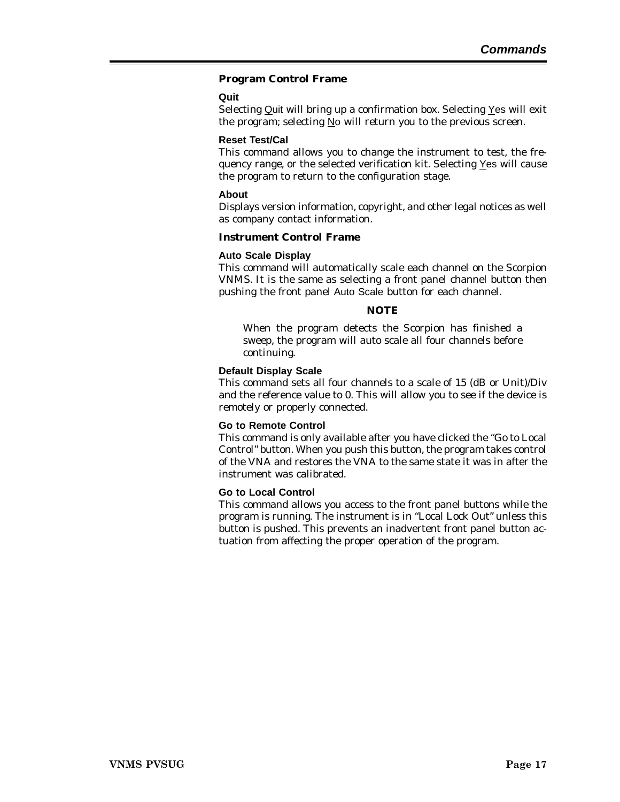#### **Program Control Frame**

#### **Quit**

Selecting Quit will bring up a confirmation box. Selecting  $Y$ es will exit the program; selecting No will return you to the previous screen.

#### **Reset Test/Cal**

This command allows you to change the instrument to test, the frequency range, or the selected verification kit. Selecting Yes will cause the program to return to the configuration stage.

#### **About**

Displays version information, copyright, and other legal notices as well as company contact information.

#### **Instrument Control Frame**

#### **Auto Scale Display**

This command will automatically scale each channel on the Scorpion VNMS. It is the same as selecting a front panel channel button then pushing the front panel Auto Scale button for each channel.

#### *NOTE*

When the program detects the Scorpion has finished a sweep, the program will auto scale all four channels before continuing.

#### **Default Display Scale**

This command sets all four channels to a scale of 15 (dB or Unit)/Div and the reference value to 0. This will allow you to see if the device is remotely or properly connected.

#### **Go to Remote Control**

This command is only available after you have clicked the "Go to Local Control" button. When you push this button, the program takes control of the VNA and restores the VNA to the same state it was in after the instrument was calibrated.

#### **Go to Local Control**

This command allows you access to the front panel buttons while the program is running. The instrument is in "Local Lock Out" unless this button is pushed. This prevents an inadvertent front panel button actuation from affecting the proper operation of the program.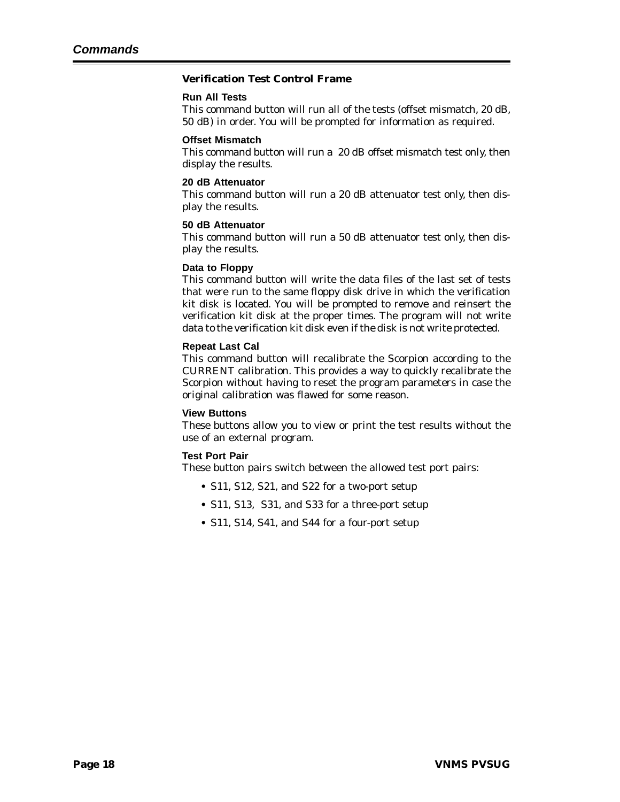#### **Verification Test Control Frame**

#### **Run All Tests**

This command button will run all of the tests (offset mismatch, 20 dB, 50 dB) in order. You will be prompted for information as required.

#### **Offset Mismatch**

This command button will run a 20 dB offset mismatch test only, then display the results.

#### **20 dB Attenuator**

This command button will run a 20 dB attenuator test only, then display the results.

#### **50 dB Attenuator**

This command button will run a 50 dB attenuator test only, then display the results.

#### **Data to Floppy**

This command button will write the data files of the last set of tests that were run to the same floppy disk drive in which the verification kit disk is located. You will be prompted to remove and reinsert the verification kit disk at the proper times. The program will not write data to the verification kit disk even if the disk is not write protected.

#### **Repeat Last Cal**

This command button will recalibrate the Scorpion according to the CURRENT calibration. This provides a way to quickly recalibrate the Scorpion without having to reset the program parameters in case the original calibration was flawed for some reason.

#### **View Buttons**

These buttons allow you to view or print the test results without the use of an external program.

#### **Test Port Pair**

These button pairs switch between the allowed test port pairs:

- **•** S11, S12, S21, and S22 for a two-port setup
- **•** S11, S13, S31, and S33 for a three-port setup
- **•** S11, S14, S41, and S44 for a four-port setup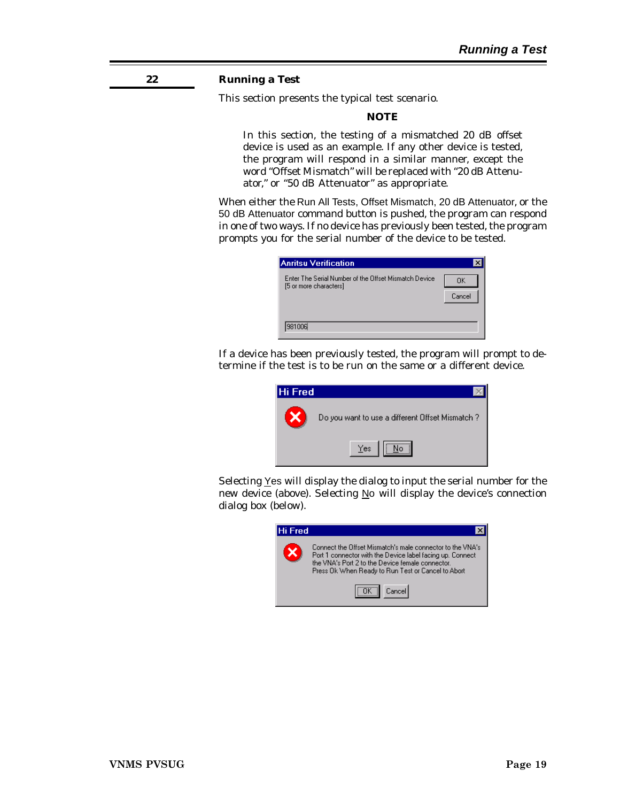#### <span id="page-22-0"></span>**22 Running a Test**

This section presents the typical test scenario.

#### *NOTE*

In this section, the testing of a mismatched 20 dB offset device is used as an example. If any other device is tested, the program will respond in a similar manner, except the word "Offset Mismatch" will be replaced with "20 dB Attenuator," or "50 dB Attenuator" as appropriate.

When either the Run All Tests, Offset Mismatch, 20 dB Attenuator, or the 50 dB Attenuator command button is pushed, the program can respond in one of two ways. If no device has previously been tested, the program prompts you for the serial number of the device to be tested.

| Anritsu Verification                                                            |              |
|---------------------------------------------------------------------------------|--------------|
| Enter The Serial Number of the Offset Mismatch Device<br>[5 or more characters] | OΚ<br>Cancel |
| 981006                                                                          |              |

If a device has been previously tested, the program will prompt to determine if the test is to be run on the same or a different device.



Selecting Yes will display the dialog to input the serial number for the new device (above). Selecting No will display the device's connection dialog box (below).

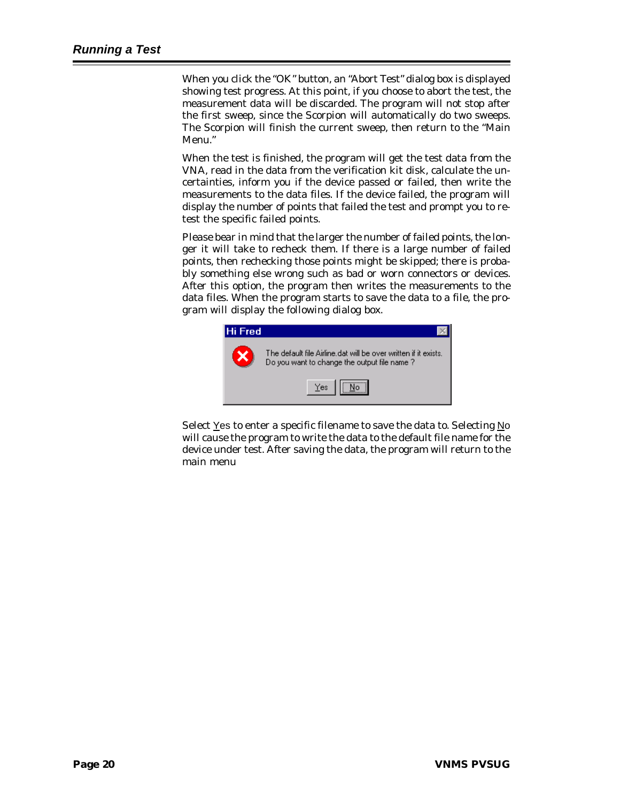When you click the "OK" button, an "Abort Test" dialog box is displayed showing test progress. At this point, if you choose to abort the test, the measurement data will be discarded. The program will not stop after the first sweep, since the Scorpion will automatically do two sweeps. The Scorpion will finish the current sweep, then return to the "Main Menu."

When the test is finished, the program will get the test data from the VNA, read in the data from the verification kit disk, calculate the uncertainties, inform you if the device passed or failed, then write the measurements to the data files. If the device failed, the program will display the number of points that failed the test and prompt you to retest the specific failed points.

Please bear in mind that the larger the number of failed points, the longer it will take to recheck them. If there is a large number of failed points, then rechecking those points might be skipped; there is probably something else wrong such as bad or worn connectors or devices. After this option, the program then writes the measurements to the data files. When the program starts to save the data to a file, the program will display the following dialog box.



Select Yes to enter a specific filename to save the data to. Selecting No will cause the program to write the data to the default file name for the device under test. After saving the data, the program will return to the main menu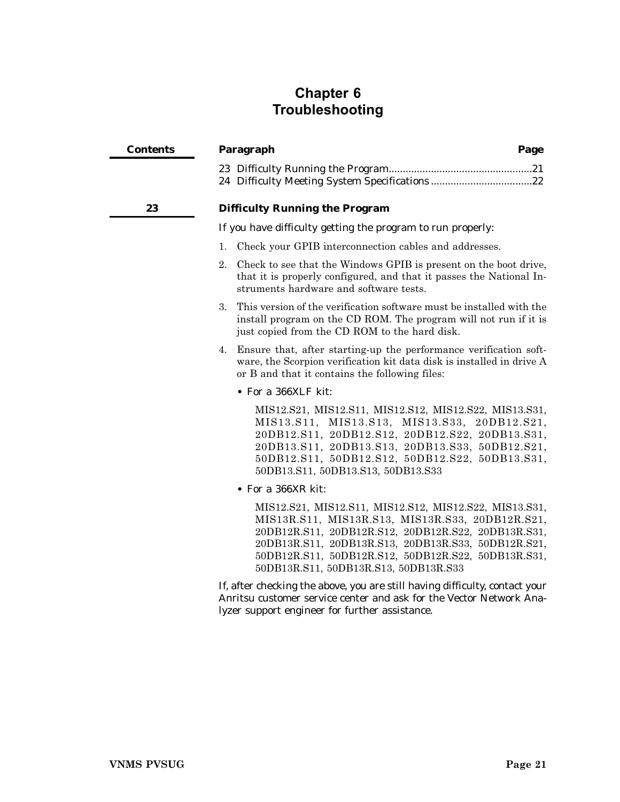# <span id="page-24-0"></span>**Chapter 6 Troubleshooting**

| <b>Contents</b> | Paragraph                                                                                                                                                                                                                                                                                                                | Page |
|-----------------|--------------------------------------------------------------------------------------------------------------------------------------------------------------------------------------------------------------------------------------------------------------------------------------------------------------------------|------|
|                 |                                                                                                                                                                                                                                                                                                                          |      |
| 23              | <b>Difficulty Running the Program</b>                                                                                                                                                                                                                                                                                    |      |
|                 | If you have difficulty getting the program to run properly:                                                                                                                                                                                                                                                              |      |
|                 | Check your GPIB interconnection cables and addresses.<br>1.                                                                                                                                                                                                                                                              |      |
|                 | 2.<br>Check to see that the Windows GPIB is present on the boot drive,<br>that it is properly configured, and that it passes the National In-<br>struments hardware and software tests.                                                                                                                                  |      |
|                 | This version of the verification software must be installed with the<br>3.<br>install program on the CD ROM. The program will not run if it is<br>just copied from the CD ROM to the hard disk.                                                                                                                          |      |
|                 | Ensure that, after starting-up the performance verification soft-<br>4.<br>ware, the Scorpion verification kit data disk is installed in drive A<br>or B and that it contains the following files:                                                                                                                       |      |
|                 | • For a 366XLF kit:                                                                                                                                                                                                                                                                                                      |      |
|                 | MIS12.S21, MIS12.S11, MIS12.S12, MIS12.S22, MIS13.S31,<br>MIS13.S11, MIS13.S13, MIS13.S33, 20DB12.S21,<br>20DB12.S11, 20DB12.S12, 20DB12.S22, 20DB13.S31,<br>20DB13.S11, 20DB13.S13, 20DB13.S33, 50DB12.S21,<br>50DB12.S11, 50DB12.S12, 50DB12.S22, 50DB13.S31,<br>50DB13.S11, 50DB13.S13, 50DB13.S33                    |      |
|                 | $\bullet$ For a 366XR kit:                                                                                                                                                                                                                                                                                               |      |
|                 | MIS12.S21, MIS12.S11, MIS12.S12, MIS12.S22, MIS13.S31,<br>MIS13R.S11, MIS13R.S13, MIS13R.S33, 20DB12R.S21,<br>20DB12R.S11, 20DB12R.S12, 20DB12R.S22, 20DB13R.S31,<br>20DB13R.S11, 20DB13R.S13, 20DB13R.S33, 50DB12R.S21,<br>50DB12R.S11, 50DB12R.S12, 50DB12R.S22, 50DB13R.S31,<br>50DB13R.S11, 50DB13R.S13, 50DB13R.S33 |      |
|                 | If, after checking the above, you are still having difficulty, contact your<br>Anritsu customer service center and ask for the Vector Network Ana-                                                                                                                                                                       |      |

lyzer support engineer for further assistance.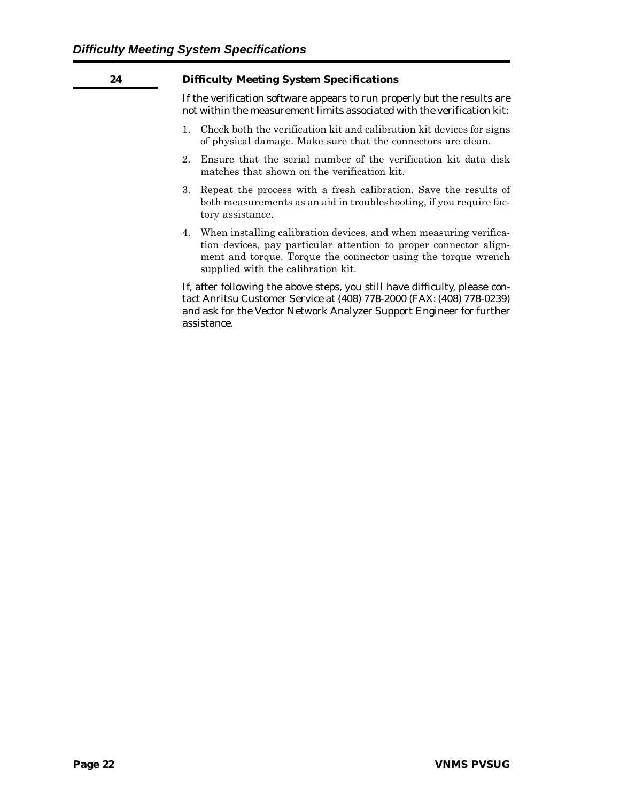<span id="page-25-0"></span>

| 24 | <b>Difficulty Meeting System Specifications</b>                                                                                                                                                                                                  |  |  |  |  |  |
|----|--------------------------------------------------------------------------------------------------------------------------------------------------------------------------------------------------------------------------------------------------|--|--|--|--|--|
|    | If the verification software appears to run properly but the results are<br>not within the measurement limits associated with the verification kit:                                                                                              |  |  |  |  |  |
|    | 1. Check both the verification kit and calibration kit devices for signs<br>of physical damage. Make sure that the connectors are clean.                                                                                                         |  |  |  |  |  |
|    | Ensure that the serial number of the verification kit data disk<br>2.<br>matches that shown on the verification kit.                                                                                                                             |  |  |  |  |  |
|    | Repeat the process with a fresh calibration. Save the results of<br>3.<br>both measurements as an aid in troubleshooting, if you require fac-<br>tory assistance.                                                                                |  |  |  |  |  |
|    | 4. When installing calibration devices, and when measuring verifica-<br>tion devices, pay particular attention to proper connector align-<br>ment and torque. Torque the connector using the torque wrench<br>supplied with the calibration kit. |  |  |  |  |  |
|    | If, after following the above steps, you still have difficulty, please con-<br>tact Anritsu Customer Service at (408) 778-2000 (FAX: (408) 778-0239)<br>and ask for the Vector Network Analyzer Support Engineer for further<br>assistance.      |  |  |  |  |  |

۰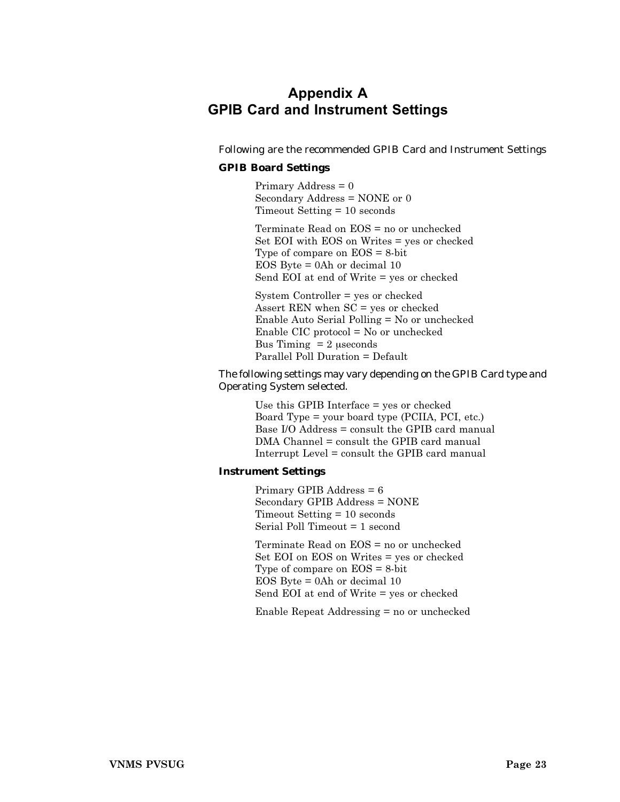# <span id="page-26-0"></span>**Appendix A GPIB Card and Instrument Settings**

Following are the recommended GPIB Card and Instrument Settings

#### **GPIB Board Settings**

Primary Address = 0 Secondary Address = NONE or 0 Timeout Setting = 10 seconds

Terminate Read on EOS = no or unchecked Set EOI with EOS on Writes = yes or checked Type of compare on EOS = 8-bit EOS Byte = 0Ah or decimal 10 Send EOI at end of Write = yes or checked

System Controller = yes or checked Assert REN when SC = yes or checked Enable Auto Serial Polling = No or unchecked Enable CIC protocol = No or unchecked Bus Timing  $= 2$  useconds Parallel Poll Duration = Default

The following settings may vary depending on the GPIB Card type and Operating System selected.

> Use this GPIB Interface = yes or checked Board Type = your board type (PCIIA, PCI, etc.) Base I/O Address = consult the GPIB card manual DMA Channel = consult the GPIB card manual Interrupt Level = consult the GPIB card manual

#### **Instrument Settings**

Primary GPIB Address = 6 Secondary GPIB Address = NONE Timeout Setting = 10 seconds Serial Poll Timeout = 1 second

Terminate Read on EOS = no or unchecked Set EOI on EOS on Writes = yes or checked Type of compare on EOS = 8-bit EOS Byte = 0Ah or decimal 10 Send EOI at end of Write = yes or checked

Enable Repeat Addressing = no or unchecked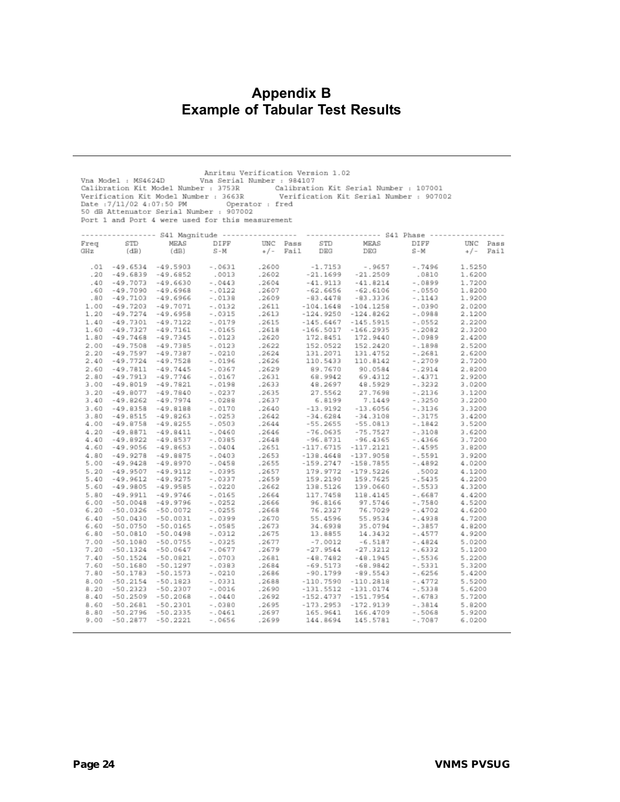## <span id="page-27-0"></span>**Appendix B Example of Tabular Test Results**

|      | Anritsu Verification Version 1.02<br>Vna Model : MS4624D Vna Serial Number : 984107<br>Calibration Kit Model Number : 3753R<br>Calibration Kit Serial Number : 107001<br>Verification Kit Model Number : 3663R<br>Verification Kit Serial Number : 907002<br>Date: 7/11/02 4:07:50 PM Operator: fred<br>50 dB Attenuator Serial Number : 907002<br>Port 1 and Port 4 were used for this measurement |                             |           |          |                                                                                             |                        |           |            |
|------|-----------------------------------------------------------------------------------------------------------------------------------------------------------------------------------------------------------------------------------------------------------------------------------------------------------------------------------------------------------------------------------------------------|-----------------------------|-----------|----------|---------------------------------------------------------------------------------------------|------------------------|-----------|------------|
|      |                                                                                                                                                                                                                                                                                                                                                                                                     |                             |           |          | ---------------- S41 Nagnitude ---------------- ---------------- S41 Phase ---------------- |                        |           |            |
| Freq | STD                                                                                                                                                                                                                                                                                                                                                                                                 | MEAS                        | DIFF      | UNC Pass | STD                                                                                         | MEAS                   | DIFF      | UNC Pass   |
| GHz  | (dB)                                                                                                                                                                                                                                                                                                                                                                                                | (dB)                        | $S - M$   |          | $*/-$ Fail<br>DEG                                                                           | <b>DEG</b>             | $S-M$     | $+/-$ Fail |
|      |                                                                                                                                                                                                                                                                                                                                                                                                     |                             |           |          |                                                                                             |                        |           |            |
| .01  | $-49.6534$                                                                                                                                                                                                                                                                                                                                                                                          | $-49.5903 - 0631$           |           | .2600    | $-1.7153$                                                                                   | $-0.9657$              | $-0.7496$ | 1.5250     |
| .20  | $-49.6839 -49.6852$                                                                                                                                                                                                                                                                                                                                                                                 |                             | .0013     | .2602    |                                                                                             | $-21.1699 - 21.2509$   | .0810     | 1.6200     |
| .40  | -49.7073                                                                                                                                                                                                                                                                                                                                                                                            | $-49.6630$                  | $-.0443$  | .2604    |                                                                                             | $-41.9113 - 41.8214$   | $-.0899$  | 1.7200     |
| .60  | -49.7090 -49.6968                                                                                                                                                                                                                                                                                                                                                                                   |                             | $-0.122$  | .2607    | $-62.6656$                                                                                  | $-62.6106$             | $-0.550$  | 1.8200     |
| .80  | -49.7103                                                                                                                                                                                                                                                                                                                                                                                            | -49.6966                    | $-.0138$  | .2609    | $-83.4478$                                                                                  | $-83.3336$             | $-1143$   | 1.9200     |
| 1.00 |                                                                                                                                                                                                                                                                                                                                                                                                     | $-49.7071$                  |           |          |                                                                                             | $-104.1648 - 104.1258$ | $-0.390$  | 2.0200     |
|      | $-49.7203$                                                                                                                                                                                                                                                                                                                                                                                          |                             | $-0.132$  | .2611    |                                                                                             |                        | $-10988$  |            |
| 1.20 |                                                                                                                                                                                                                                                                                                                                                                                                     | $-49.7274 -49.6958 -0.0315$ |           | .2613    | $-124.9250$                                                                                 | $-124.8262$            |           | 2.1200     |
| 1.40 | $-49.7301 -49.7122$                                                                                                                                                                                                                                                                                                                                                                                 |                             | $-0179$   | .2615    | $-145.6467$                                                                                 | $-145.5915$            | $-0.552$  | 2.2200     |
| 1.60 | -49.7327                                                                                                                                                                                                                                                                                                                                                                                            | $-49.7161$                  | $-0.0165$ | .2618    | $-166.5017$                                                                                 | $-166.2935$            | $-12082$  | 2.3200     |
| 1.80 | -49.7468                                                                                                                                                                                                                                                                                                                                                                                            | $-49.7345 - 0123$           |           | .2620    | 172.8451                                                                                    | 172.9440               | $-0.989$  | 2.4200     |
| 2.00 | $-49.7508 -49.7385$                                                                                                                                                                                                                                                                                                                                                                                 |                             | $-0.123$  | .2622    | 152.0522                                                                                    | 152.2420               | $-1898$   | 2.5200     |
| 2.20 | -49.7597                                                                                                                                                                                                                                                                                                                                                                                            | $-49.7387$                  | -.0210    | .2624    | 131.2071                                                                                    | 131.4752               | $-0.2681$ | 2.6200     |
| 2.40 | -49.7724                                                                                                                                                                                                                                                                                                                                                                                            | $-49.7528$                  | -.0196    | .2626    |                                                                                             | 110.5433 110.8142      | $-.2709$  | 2.7200     |
| 2.60 | -49.7811                                                                                                                                                                                                                                                                                                                                                                                            | $-49.7445$                  | $-.0367$  | .2629    | 89.7670                                                                                     | 90.0584                | $-.2914$  | 2.8200     |
| 2.80 | $-49.7913 - 49.7746$                                                                                                                                                                                                                                                                                                                                                                                |                             | -.0167    | .2631    | 68.9942                                                                                     | 69.4312                | $-0.4371$ | 2.9200     |
| 3.00 | -49.8019                                                                                                                                                                                                                                                                                                                                                                                            | $-49.7821$                  | $-.0198$  | .2633    |                                                                                             | 48.2697 48.5929        | $-0.3232$ | 3.0200     |
| 3.20 | -49.8077                                                                                                                                                                                                                                                                                                                                                                                            | $-49.7840$                  | $-0.237$  | .2635    | 27.5562                                                                                     | 27.7698                | $-.2136$  | 3.1200     |
| 3.40 | -49.8262                                                                                                                                                                                                                                                                                                                                                                                            | $-49.7974$                  | $-0.288$  | .2637    | 6.8199                                                                                      | 7.1449                 | $-0.3250$ | 3.2200     |
| 3.60 | $-49.8358 -49.8188$                                                                                                                                                                                                                                                                                                                                                                                 |                             | $-0.0170$ | .2640    |                                                                                             | $-13.9192 - 13.6056$   | $-0.3136$ | 3,3200     |
| 3.80 | $-49.8515 -49.8263$                                                                                                                                                                                                                                                                                                                                                                                 |                             | $-0.253$  | .2642    | $-34.6284$                                                                                  | $-34.3108$             | $-0.3175$ | 3.4200     |
| 4.00 | -49.8758                                                                                                                                                                                                                                                                                                                                                                                            | $-49.8255$                  | $-0503$   | .2644    |                                                                                             | $-55.2655 - 55.0813$   | $-1842$   | 3.5200     |
| 4.20 | $-49.8871$                                                                                                                                                                                                                                                                                                                                                                                          | $-49.8411$                  | $-.0460$  | .2646    | $-76.0635$                                                                                  | $-75.7527$             | $-13108$  | 3.6200     |
| 4.40 | $-49.8922$                                                                                                                                                                                                                                                                                                                                                                                          | $-49.8537$                  | $-0.385$  | .2648    | $-96.8731$                                                                                  | -96.4365               | $-14366$  | 3.7200     |
| 4.60 | -49.9056 -49.8653                                                                                                                                                                                                                                                                                                                                                                                   |                             | $-.0404$  | .2651    |                                                                                             | $-117.6715 - 117.2121$ | $-14595$  | 3.8200     |
| 4.80 | $-49.9278$                                                                                                                                                                                                                                                                                                                                                                                          | $-49.8875$                  | $-.0403$  | .2653    | $-138.4648$                                                                                 | $-137.9058$            | $-15591$  | 3.9200     |
| 5.00 | $-49.9428 -49.8970$                                                                                                                                                                                                                                                                                                                                                                                 |                             | $-0458$   | .2655    | $-159.2747$                                                                                 | $-158.7855$            | $-.4892$  | 4.0200     |
| 5.20 | $-49.9507$                                                                                                                                                                                                                                                                                                                                                                                          | $-49.9112$                  | -.0395    | .2657    | 179.9772                                                                                    | $-179.5226$            | .5002     | 4.1200     |
| 5.40 | -49.9612                                                                                                                                                                                                                                                                                                                                                                                            | $-49.9275$                  | $-0.337$  | .2659    | 159.2190                                                                                    | 159.7625               | $-0.5435$ | 4.2200     |
| 5.60 | -49.9805                                                                                                                                                                                                                                                                                                                                                                                            | $-49.9585$                  | $-0.220$  | .2662    | 138.5126                                                                                    | 139.0660               | $-15533$  | 4.3200     |
| 5.80 | $-49.9911 - 49.9746$                                                                                                                                                                                                                                                                                                                                                                                |                             | $-.0165$  | .2664    |                                                                                             | 117.7458 118.4145      | $-0.6687$ | 4.4200     |
| 6.00 | -50.0048                                                                                                                                                                                                                                                                                                                                                                                            | $-49.9796$                  | $-0.252$  | .2666    | 96.8166                                                                                     | 97.5746                | $-0.7580$ | 4.5200     |
| 6.20 | -50.0326                                                                                                                                                                                                                                                                                                                                                                                            | $-50.0072$                  | $-0.0255$ | .2668    | 76.2327                                                                                     | 76.7029                | $-.4702$  | 4.6200     |
| 6.40 | $-50.0430$                                                                                                                                                                                                                                                                                                                                                                                          | $-50.0031$                  | -.0399    | .2670    |                                                                                             | 55.4596 55.9534        | $-.4938$  | 4.7200     |
| 6.60 | $-50.0750 - 50.0165$                                                                                                                                                                                                                                                                                                                                                                                |                             | -.0585    | .2673    |                                                                                             | 34.6938 35.0794        | $-1.3857$ | 4.8200     |
| 6.80 | $-50.0810$                                                                                                                                                                                                                                                                                                                                                                                          | $-50.0498$                  | -.0312    | .2675    |                                                                                             | 13.8855 14.3432        | $-14577$  | 4.9200     |
| 7.00 | $-50.1080$                                                                                                                                                                                                                                                                                                                                                                                          | $-50.0755$                  | $-0.0325$ | .2677    | $-7.0012$                                                                                   | $-6.5187$              | $-14824$  | 5.0200     |
| 7.20 | $-50.1324$                                                                                                                                                                                                                                                                                                                                                                                          | $-50.0647$                  | $-0677$   | .2679    |                                                                                             | $-27.9544 - 27.3212$   | $-0.6332$ | 5.1200     |
| 7.40 | $-50.1524$                                                                                                                                                                                                                                                                                                                                                                                          | $-50.0821$                  | $-0703$   | .2681    | $-48.7482$                                                                                  | $-48.1945$             | $-15536$  | 5.2200     |
| 7.60 | $-50.1680$                                                                                                                                                                                                                                                                                                                                                                                          | $-50.1297$                  | $-0.383$  | .2684    | $-69.5173$                                                                                  | -68.9842               | $-0.5331$ | 5.3200     |
| 7.80 | $-50.1783$                                                                                                                                                                                                                                                                                                                                                                                          | $-50.1573$                  | $-0.210$  | .2686    | $-90.1799$                                                                                  | $-89.5543$             | $-0.6256$ | 5.4200     |
| 8.00 | $-50.2154$                                                                                                                                                                                                                                                                                                                                                                                          | $-50.1823$                  | -.0331    | .2688    | $-110.7590$                                                                                 | $-110.2818$            | $-0.4772$ | 5.5200     |
| 8.20 | $-50.2323$                                                                                                                                                                                                                                                                                                                                                                                          | $-50.2307$                  | $-.0016$  | .2690    | $-131.5512$                                                                                 | $-131.0174$            | $-15338$  | 5.6200     |
| 8.40 | $-50.2509$                                                                                                                                                                                                                                                                                                                                                                                          | $-50.2068$                  | $-.0440$  | .2692    | $-152.4737$                                                                                 | $-151.7954$            | $-0.6783$ | 5.7200     |
| 8.60 | $-50.2681$                                                                                                                                                                                                                                                                                                                                                                                          | $-50.2301$                  | $-0.0380$ | .2695    |                                                                                             |                        | $-.3814$  | 5.8200     |
| 8.80 |                                                                                                                                                                                                                                                                                                                                                                                                     | -50.2796 -50.2335           | -.0461    | .2697    | -173.2953 -172.9139<br>165.9641 166.4709                                                    |                        | -.5068    | 5.9200     |
| 9.00 | -50.2877 -50.2221                                                                                                                                                                                                                                                                                                                                                                                   |                             | -.0656    | .2699    | 144.8694                                                                                    | 145.5781               | -.7087    | 6.0200     |
|      |                                                                                                                                                                                                                                                                                                                                                                                                     |                             |           |          |                                                                                             |                        |           |            |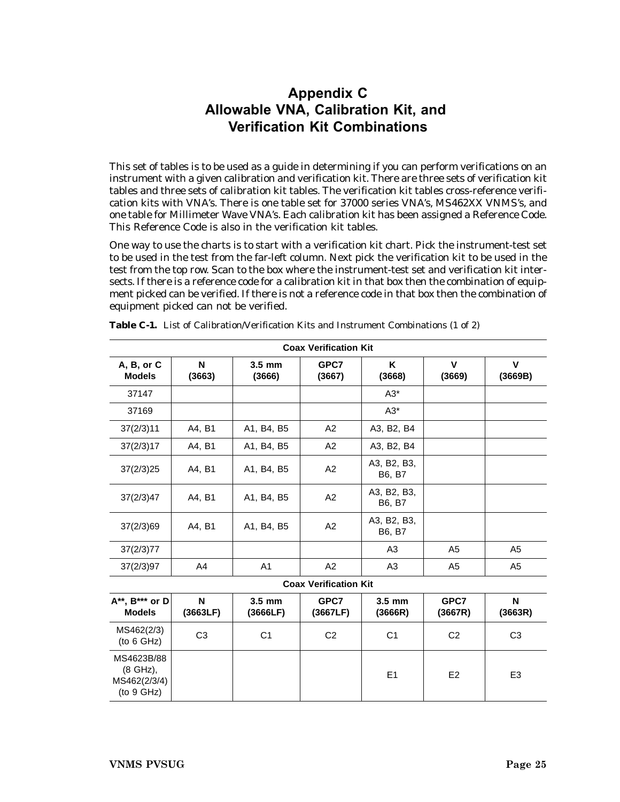# <span id="page-28-0"></span>**Appendix C Allowable VNA, Calibration Kit, and Verification Kit Combinations**

This set of tables is to be used as a guide in determining if you can perform verifications on an instrument with a given calibration and verification kit. There are three sets of verification kit tables and three sets of calibration kit tables. The verification kit tables cross-reference verification kits with VNA's. There is one table set for 37000 series VNA's, MS462XX VNMS's, and one table for Millimeter Wave VNA's. Each calibration kit has been assigned a Reference Code. This Reference Code is also in the verification kit tables.

One way to use the charts is to start with a verification kit chart. Pick the instrument-test set to be used in the test from the far-left column. Next pick the verification kit to be used in the test from the top row. Scan to the box where the instrument-test set and verification kit intersects. If there is a reference code for a calibration kit in that box then the combination of equipment picked can be verified. If there is not a reference code in that box then the combination of equipment picked can not be verified.

| <b>Coax Verification Kit</b>                         |                |                      |                              |                       |                       |                        |  |  |
|------------------------------------------------------|----------------|----------------------|------------------------------|-----------------------|-----------------------|------------------------|--|--|
| A, B, or C<br><b>Models</b>                          | N<br>(3663)    | $3.5$ mm<br>(3666)   | GPC7<br>(3667)               | ĸ<br>(3668)           | $\mathbf v$<br>(3669) | $\mathbf v$<br>(3669B) |  |  |
| 37147                                                |                |                      |                              | $A3^*$                |                       |                        |  |  |
| 37169                                                |                |                      |                              | $A3*$                 |                       |                        |  |  |
| 37(2/3)11                                            | A4, B1         | A1, B4, B5           | A2                           | A3, B2, B4            |                       |                        |  |  |
| 37(2/3)17                                            | A4, B1         | A1, B4, B5           | A2                           | A3, B2, B4            |                       |                        |  |  |
| 37(2/3)25                                            | A4, B1         | A1, B4, B5           | A2                           | A3, B2, B3,<br>B6, B7 |                       |                        |  |  |
| 37(2/3)47                                            | A4, B1         | A1, B4, B5           | A2                           | A3, B2, B3,<br>B6, B7 |                       |                        |  |  |
| 37(2/3)69                                            | A4, B1         | A1, B4, B5           | A2                           | A3, B2, B3,<br>B6, B7 |                       |                        |  |  |
| 37(2/3)77                                            |                |                      |                              | A3                    | A <sub>5</sub>        | A <sub>5</sub>         |  |  |
| 37(2/3)97                                            | A4             | A <sub>1</sub>       | A2                           | A <sub>3</sub>        | A <sub>5</sub>        | A <sub>5</sub>         |  |  |
|                                                      |                |                      | <b>Coax Verification Kit</b> |                       |                       |                        |  |  |
| $A^{**}$ , $B^{***}$ or $D$<br><b>Models</b>         | N<br>(3663LF)  | $3.5$ mm<br>(3666LF) | GPC7<br>(3667LF)             | $3.5$ mm<br>(3666R)   | GPC7<br>(3667R)       | N<br>(3663R)           |  |  |
| MS462(2/3)<br>(to 6 GHz)                             | C <sub>3</sub> | C <sub>1</sub>       | C <sub>2</sub>               | C <sub>1</sub>        | C <sub>2</sub>        | C <sub>3</sub>         |  |  |
| MS4623B/88<br>(8 GHz),<br>MS462(2/3/4)<br>(to 9 GHz) |                |                      |                              | E1                    | E <sub>2</sub>        | E <sub>3</sub>         |  |  |

**Table C-1.** List of Calibration/Verification Kits and Instrument Combinations (1 of 2)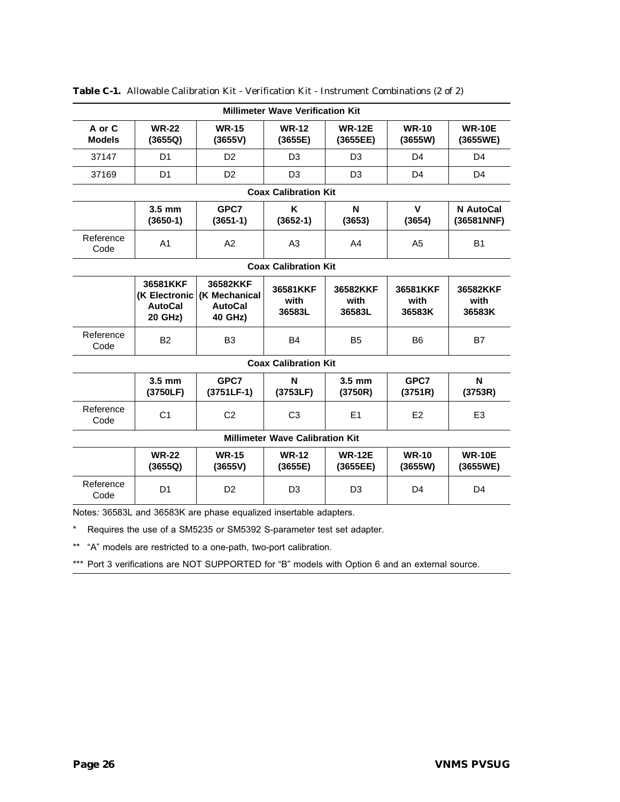| <b>Millimeter Wave Verification Kit</b> |                                                        |                                                        |                             |                            |                            |                            |  |  |
|-----------------------------------------|--------------------------------------------------------|--------------------------------------------------------|-----------------------------|----------------------------|----------------------------|----------------------------|--|--|
| A or C<br><b>Models</b>                 | <b>WR-22</b><br>(3655Q)                                | <b>WR-15</b><br>(3655V)                                | <b>WR-12</b><br>(3655E)     | <b>WR-12E</b><br>(3655EE)  | <b>WR-10</b><br>(3655W)    | <b>WR-10E</b><br>(3655WE)  |  |  |
| 37147                                   | D <sub>1</sub>                                         | D <sub>2</sub>                                         | D <sub>3</sub>              | D <sub>3</sub>             | D <sub>4</sub>             | D <sub>4</sub>             |  |  |
| 37169                                   | D <sub>1</sub>                                         | D <sub>2</sub>                                         | D <sub>3</sub>              | D <sub>3</sub>             | D <sub>4</sub>             | D <sub>4</sub>             |  |  |
|                                         |                                                        |                                                        | <b>Coax Calibration Kit</b> |                            |                            |                            |  |  |
|                                         | $3.5 \text{ mm}$<br>$(3650-1)$                         | GPC7<br>$(3651-1)$                                     | K<br>$(3652-1)$             | N<br>(3653)                | V<br>(3654)                | N AutoCal<br>(36581NNF)    |  |  |
| Reference<br>Code                       | A <sub>1</sub>                                         | A2                                                     | A <sub>3</sub>              | A4                         | A <sub>5</sub>             | <b>B1</b>                  |  |  |
|                                         |                                                        |                                                        | <b>Coax Calibration Kit</b> |                            |                            |                            |  |  |
|                                         | 36581KKF<br>(K Electronic<br><b>AutoCal</b><br>20 GHz) | 36582KKF<br>(K Mechanical<br><b>AutoCal</b><br>40 GHz) | 36581KKF<br>with<br>36583L  | 36582KKF<br>with<br>36583L | 36581KKF<br>with<br>36583K | 36582KKF<br>with<br>36583K |  |  |
| Reference<br>Code                       | <b>B2</b>                                              | B <sub>3</sub>                                         | <b>B4</b>                   | B <sub>5</sub>             | B <sub>6</sub>             | B7                         |  |  |
|                                         |                                                        |                                                        | <b>Coax Calibration Kit</b> |                            |                            |                            |  |  |
|                                         | $3.5$ mm<br>(3750LF)                                   | GPC7<br>$(3751LF-1)$                                   | N<br>(3753LF)               | $3.5$ mm<br>(3750R)        | GPC7<br>(3751R)            | N<br>(3753R)               |  |  |
| Reference<br>Code                       | C <sub>1</sub>                                         | C <sub>2</sub>                                         | C <sub>3</sub>              | E1                         | E <sub>2</sub>             | E <sub>3</sub>             |  |  |
|                                         | <b>Millimeter Wave Calibration Kit</b>                 |                                                        |                             |                            |                            |                            |  |  |
|                                         | <b>WR-22</b><br>(3655Q)                                | <b>WR-15</b><br>(3655V)                                | <b>WR-12</b><br>(3655E)     | <b>WR-12E</b><br>(3655EE)  | <b>WR-10</b><br>(3655W)    | <b>WR-10E</b><br>(3655WE)  |  |  |
| Reference<br>Code                       | D <sub>1</sub>                                         | D <sub>2</sub>                                         | D <sub>3</sub>              | D <sub>3</sub>             | D <sub>4</sub>             | D <sub>4</sub>             |  |  |
|                                         |                                                        |                                                        |                             |                            |                            |                            |  |  |

**Table C-1.** Allowable Calibration Kit - Verification Kit - Instrument Combinations (2 of 2)

Notes*:* 36583L and 36583K are phase equalized insertable adapters.

\* Requires the use of a SM5235 or SM5392 S-parameter test set adapter.

\*\* "A" models are restricted to a one-path, two-port calibration.

\*\*\* Port 3 verifications are NOT SUPPORTED for "B" models with Option 6 and an external source.